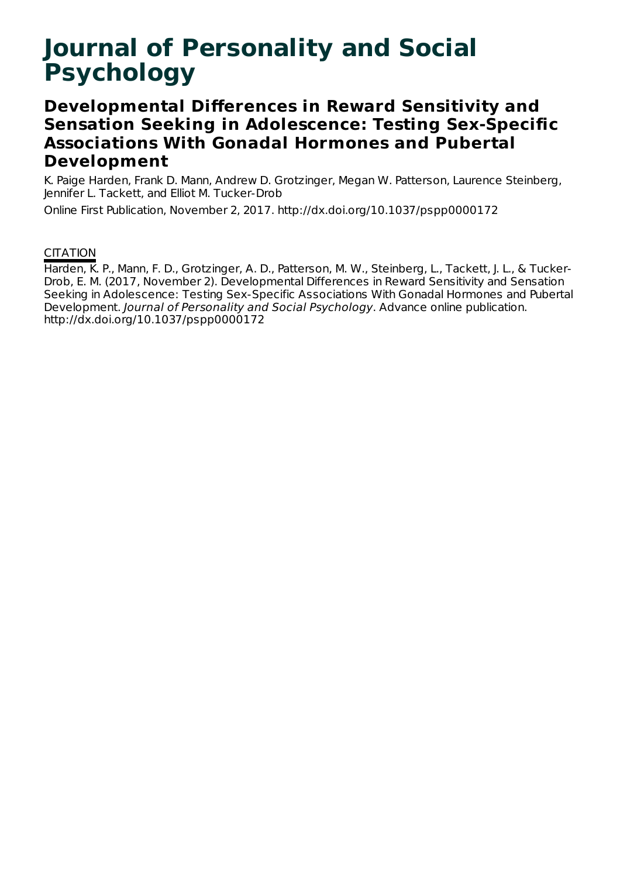# **Journal of Personality and Social Psychology**

# **Developmental Differences in Reward Sensitivity and Sensation Seeking in Adolescence: Testing Sex-Specific Associations With Gonadal Hormones and Pubertal Development**

K. Paige Harden, Frank D. Mann, Andrew D. Grotzinger, Megan W. Patterson, Laurence Steinberg, Jennifer L. Tackett, and Elliot M. Tucker-Drob

Online First Publication, November 2, 2017. http://dx.doi.org/10.1037/pspp0000172

# **CITATION**

Harden, K. P., Mann, F. D., Grotzinger, A. D., Patterson, M. W., Steinberg, L., Tackett, J. L., & Tucker-Drob, E. M. (2017, November 2). Developmental Differences in Reward Sensitivity and Sensation Seeking in Adolescence: Testing Sex-Specific Associations With Gonadal Hormones and Pubertal Development. Journal of Personality and Social Psychology. Advance online publication. http://dx.doi.org/10.1037/pspp0000172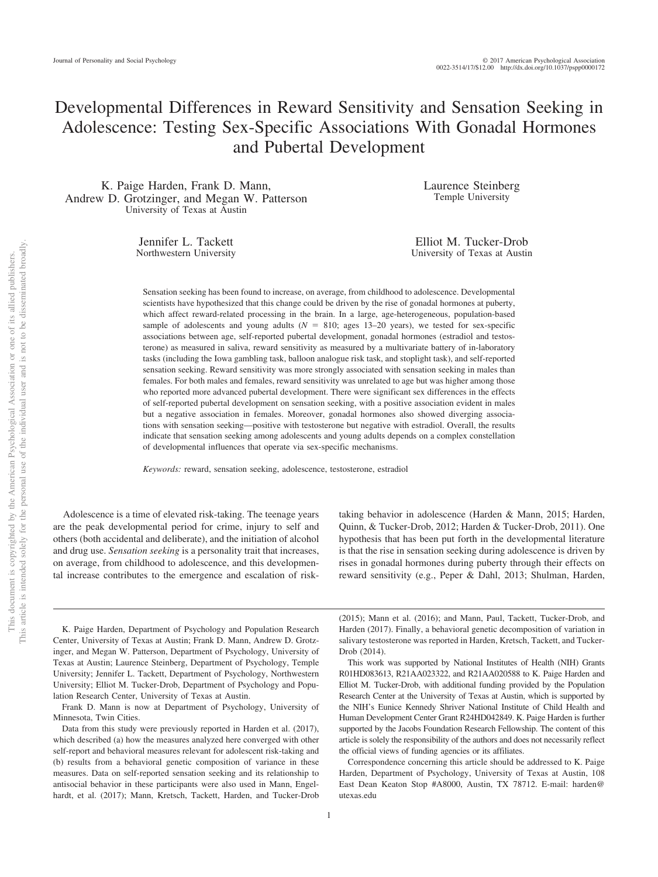# Developmental Differences in Reward Sensitivity and Sensation Seeking in Adolescence: Testing Sex-Specific Associations With Gonadal Hormones and Pubertal Development

K. Paige Harden, Frank D. Mann, Andrew D. Grotzinger, and Megan W. Patterson University of Texas at Austin

> Jennifer L. Tackett Northwestern University

Laurence Steinberg Temple University

Elliot M. Tucker-Drob University of Texas at Austin

Sensation seeking has been found to increase, on average, from childhood to adolescence. Developmental scientists have hypothesized that this change could be driven by the rise of gonadal hormones at puberty, which affect reward-related processing in the brain. In a large, age-heterogeneous, population-based sample of adolescents and young adults  $(N = 810;$  ages 13–20 years), we tested for sex-specific associations between age, self-reported pubertal development, gonadal hormones (estradiol and testosterone) as measured in saliva, reward sensitivity as measured by a multivariate battery of in-laboratory tasks (including the Iowa gambling task, balloon analogue risk task, and stoplight task), and self-reported sensation seeking. Reward sensitivity was more strongly associated with sensation seeking in males than females. For both males and females, reward sensitivity was unrelated to age but was higher among those who reported more advanced pubertal development. There were significant sex differences in the effects of self-reported pubertal development on sensation seeking, with a positive association evident in males but a negative association in females. Moreover, gonadal hormones also showed diverging associations with sensation seeking—positive with testosterone but negative with estradiol. Overall, the results indicate that sensation seeking among adolescents and young adults depends on a complex constellation of developmental influences that operate via sex-specific mechanisms.

*Keywords:* reward, sensation seeking, adolescence, testosterone, estradiol

Adolescence is a time of elevated risk-taking. The teenage years are the peak developmental period for crime, injury to self and others (both accidental and deliberate), and the initiation of alcohol and drug use. *Sensation seeking* is a personality trait that increases, on average, from childhood to adolescence, and this developmental increase contributes to the emergence and escalation of risk-

taking behavior in adolescence (Harden & Mann, 2015; Harden, Quinn, & Tucker-Drob, 2012; Harden & Tucker-Drob, 2011). One hypothesis that has been put forth in the developmental literature is that the rise in sensation seeking during adolescence is driven by rises in gonadal hormones during puberty through their effects on reward sensitivity (e.g., Peper & Dahl, 2013; Shulman, Harden,

K. Paige Harden, Department of Psychology and Population Research Center, University of Texas at Austin; Frank D. Mann, Andrew D. Grotzinger, and Megan W. Patterson, Department of Psychology, University of Texas at Austin; Laurence Steinberg, Department of Psychology, Temple University; Jennifer L. Tackett, Department of Psychology, Northwestern University; Elliot M. Tucker-Drob, Department of Psychology and Population Research Center, University of Texas at Austin.

Frank D. Mann is now at Department of Psychology, University of Minnesota, Twin Cities.

Data from this study were previously reported in Harden et al. (2017), which described (a) how the measures analyzed here converged with other self-report and behavioral measures relevant for adolescent risk-taking and (b) results from a behavioral genetic composition of variance in these measures. Data on self-reported sensation seeking and its relationship to antisocial behavior in these participants were also used in Mann, Engelhardt, et al. (2017); Mann, Kretsch, Tackett, Harden, and Tucker-Drob

(2015); Mann et al. (2016); and Mann, Paul, Tackett, Tucker-Drob, and Harden (2017). Finally, a behavioral genetic decomposition of variation in salivary testosterone was reported in Harden, Kretsch, Tackett, and Tucker-Drob (2014).

This work was supported by National Institutes of Health (NIH) Grants R01HD083613, R21AA023322, and R21AA020588 to K. Paige Harden and Elliot M. Tucker-Drob, with additional funding provided by the Population Research Center at the University of Texas at Austin, which is supported by the NIH's Eunice Kennedy Shriver National Institute of Child Health and Human Development Center Grant R24HD042849. K. Paige Harden is further supported by the Jacobs Foundation Research Fellowship. The content of this article is solely the responsibility of the authors and does not necessarily reflect the official views of funding agencies or its affiliates.

Correspondence concerning this article should be addressed to K. Paige Harden, Department of Psychology, University of Texas at Austin, 108 East Dean Keaton Stop #A8000, Austin, TX 78712. E-mail: [harden@](mailto:harden@utexas.edu) [utexas.edu](mailto:harden@utexas.edu)

1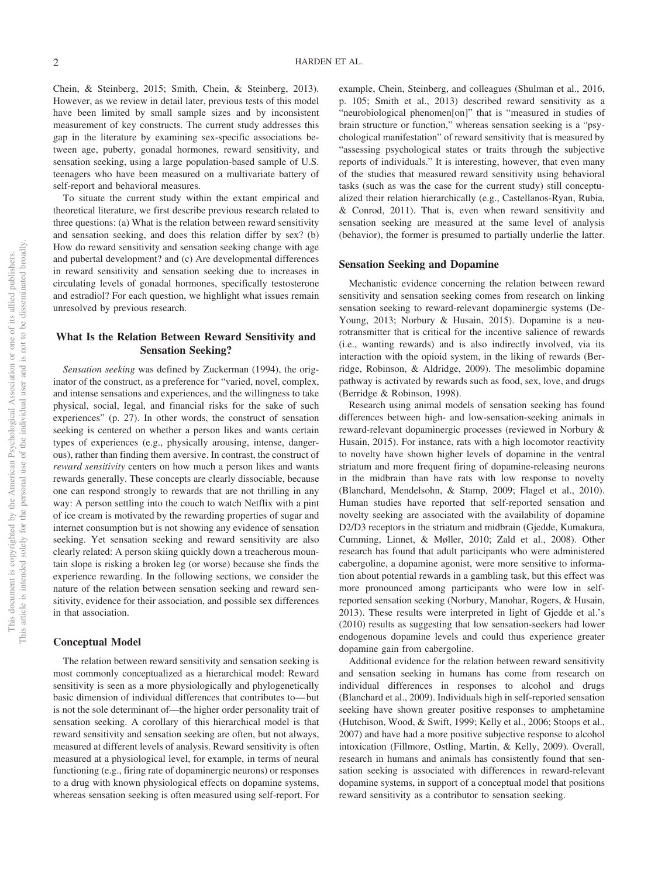Chein, & Steinberg, 2015; Smith, Chein, & Steinberg, 2013). However, as we review in detail later, previous tests of this model have been limited by small sample sizes and by inconsistent measurement of key constructs. The current study addresses this gap in the literature by examining sex-specific associations between age, puberty, gonadal hormones, reward sensitivity, and sensation seeking, using a large population-based sample of U.S. teenagers who have been measured on a multivariate battery of self-report and behavioral measures.

To situate the current study within the extant empirical and theoretical literature, we first describe previous research related to three questions: (a) What is the relation between reward sensitivity and sensation seeking, and does this relation differ by sex? (b) How do reward sensitivity and sensation seeking change with age and pubertal development? and (c) Are developmental differences in reward sensitivity and sensation seeking due to increases in circulating levels of gonadal hormones, specifically testosterone and estradiol? For each question, we highlight what issues remain unresolved by previous research.

# **What Is the Relation Between Reward Sensitivity and Sensation Seeking?**

*Sensation seeking* was defined by Zuckerman (1994), the originator of the construct, as a preference for "varied, novel, complex, and intense sensations and experiences, and the willingness to take physical, social, legal, and financial risks for the sake of such experiences" (p. 27). In other words, the construct of sensation seeking is centered on whether a person likes and wants certain types of experiences (e.g., physically arousing, intense, dangerous), rather than finding them aversive. In contrast, the construct of *reward sensitivity* centers on how much a person likes and wants rewards generally. These concepts are clearly dissociable, because one can respond strongly to rewards that are not thrilling in any way: A person settling into the couch to watch Netflix with a pint of ice cream is motivated by the rewarding properties of sugar and internet consumption but is not showing any evidence of sensation seeking. Yet sensation seeking and reward sensitivity are also clearly related: A person skiing quickly down a treacherous mountain slope is risking a broken leg (or worse) because she finds the experience rewarding. In the following sections, we consider the nature of the relation between sensation seeking and reward sensitivity, evidence for their association, and possible sex differences in that association.

#### **Conceptual Model**

The relation between reward sensitivity and sensation seeking is most commonly conceptualized as a hierarchical model: Reward sensitivity is seen as a more physiologically and phylogenetically basic dimension of individual differences that contributes to—but is not the sole determinant of—the higher order personality trait of sensation seeking. A corollary of this hierarchical model is that reward sensitivity and sensation seeking are often, but not always, measured at different levels of analysis. Reward sensitivity is often measured at a physiological level, for example, in terms of neural functioning (e.g., firing rate of dopaminergic neurons) or responses to a drug with known physiological effects on dopamine systems, whereas sensation seeking is often measured using self-report. For

example, Chein, Steinberg, and colleagues (Shulman et al., 2016, p. 105; Smith et al., 2013) described reward sensitivity as a "neurobiological phenomen[on]" that is "measured in studies of brain structure or function," whereas sensation seeking is a "psychological manifestation" of reward sensitivity that is measured by "assessing psychological states or traits through the subjective reports of individuals." It is interesting, however, that even many of the studies that measured reward sensitivity using behavioral tasks (such as was the case for the current study) still conceptualized their relation hierarchically (e.g., Castellanos-Ryan, Rubia, & Conrod, 2011). That is, even when reward sensitivity and sensation seeking are measured at the same level of analysis (behavior), the former is presumed to partially underlie the latter.

#### **Sensation Seeking and Dopamine**

Mechanistic evidence concerning the relation between reward sensitivity and sensation seeking comes from research on linking sensation seeking to reward-relevant dopaminergic systems (De-Young, 2013; Norbury & Husain, 2015). Dopamine is a neurotransmitter that is critical for the incentive salience of rewards (i.e., wanting rewards) and is also indirectly involved, via its interaction with the opioid system, in the liking of rewards (Berridge, Robinson, & Aldridge, 2009). The mesolimbic dopamine pathway is activated by rewards such as food, sex, love, and drugs (Berridge & Robinson, 1998).

Research using animal models of sensation seeking has found differences between high- and low-sensation-seeking animals in reward-relevant dopaminergic processes (reviewed in Norbury & Husain, 2015). For instance, rats with a high locomotor reactivity to novelty have shown higher levels of dopamine in the ventral striatum and more frequent firing of dopamine-releasing neurons in the midbrain than have rats with low response to novelty (Blanchard, Mendelsohn, & Stamp, 2009; Flagel et al., 2010). Human studies have reported that self-reported sensation and novelty seeking are associated with the availability of dopamine D2/D3 receptors in the striatum and midbrain (Gjedde, Kumakura, Cumming, Linnet, & Møller, 2010; Zald et al., 2008). Other research has found that adult participants who were administered cabergoline, a dopamine agonist, were more sensitive to information about potential rewards in a gambling task, but this effect was more pronounced among participants who were low in selfreported sensation seeking [\(Norbury, Manohar, Rogers, & Husain,](#page-16-0) [2013\)](#page-16-0). These results were interpreted in light of Gjedde et al.'s (2010) results as suggesting that low sensation-seekers had lower endogenous dopamine levels and could thus experience greater dopamine gain from cabergoline.

Additional evidence for the relation between reward sensitivity and sensation seeking in humans has come from research on individual differences in responses to alcohol and drugs (Blanchard et al., 2009). Individuals high in self-reported sensation seeking have shown greater positive responses to amphetamine (Hutchison, Wood, & Swift, 1999; Kelly et al., 2006; Stoops et al., 2007) and have had a more positive subjective response to alcohol intoxication (Fillmore, Ostling, Martin, & Kelly, 2009). Overall, research in humans and animals has consistently found that sensation seeking is associated with differences in reward-relevant dopamine systems, in support of a conceptual model that positions reward sensitivity as a contributor to sensation seeking.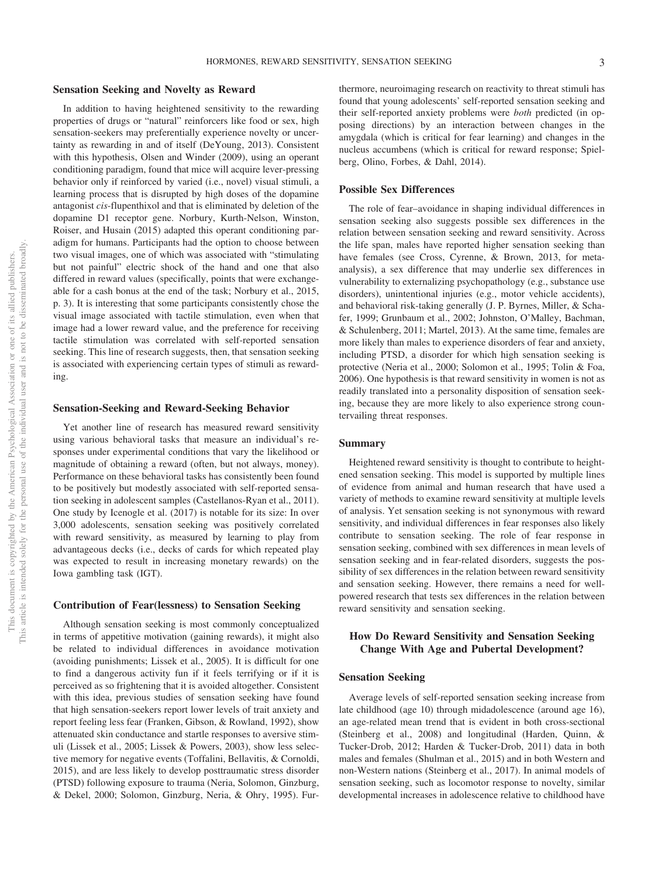### **Sensation Seeking and Novelty as Reward**

In addition to having heightened sensitivity to the rewarding properties of drugs or "natural" reinforcers like food or sex, high sensation-seekers may preferentially experience novelty or uncertainty as rewarding in and of itself (DeYoung, 2013). Consistent with this hypothesis, [Olsen and Winder \(2009\),](#page-16-1) using an operant conditioning paradigm, found that mice will acquire lever-pressing behavior only if reinforced by varied (i.e., novel) visual stimuli, a learning process that is disrupted by high doses of the dopamine antagonist *cis*-flupenthixol and that is eliminated by deletion of the dopamine D1 receptor gene. Norbury, Kurth-Nelson, Winston, Roiser, and Husain (2015) adapted this operant conditioning paradigm for humans. Participants had the option to choose between two visual images, one of which was associated with "stimulating but not painful" electric shock of the hand and one that also differed in reward values (specifically, points that were exchangeable for a cash bonus at the end of the task; Norbury et al., 2015, p. 3). It is interesting that some participants consistently chose the visual image associated with tactile stimulation, even when that image had a lower reward value, and the preference for receiving tactile stimulation was correlated with self-reported sensation seeking. This line of research suggests, then, that sensation seeking is associated with experiencing certain types of stimuli as rewarding.

# **Sensation-Seeking and Reward-Seeking Behavior**

Yet another line of research has measured reward sensitivity using various behavioral tasks that measure an individual's responses under experimental conditions that vary the likelihood or magnitude of obtaining a reward (often, but not always, money). Performance on these behavioral tasks has consistently been found to be positively but modestly associated with self-reported sensation seeking in adolescent samples (Castellanos-Ryan et al., 2011). One study by Icenogle et al. (2017) is notable for its size: In over 3,000 adolescents, sensation seeking was positively correlated with reward sensitivity, as measured by learning to play from advantageous decks (i.e., decks of cards for which repeated play was expected to result in increasing monetary rewards) on the Iowa gambling task (IGT).

#### **Contribution of Fear(lessness) to Sensation Seeking**

Although sensation seeking is most commonly conceptualized in terms of appetitive motivation (gaining rewards), it might also be related to individual differences in avoidance motivation (avoiding punishments; Lissek et al., 2005). It is difficult for one to find a dangerous activity fun if it feels terrifying or if it is perceived as so frightening that it is avoided altogether. Consistent with this idea, previous studies of sensation seeking have found that high sensation-seekers report lower levels of trait anxiety and report feeling less fear (Franken, Gibson, & Rowland, 1992), show attenuated skin conductance and startle responses to aversive stimuli (Lissek et al., 2005; Lissek & Powers, 2003), show less selective memory for negative events (Toffalini, Bellavitis, & Cornoldi, 2015), and are less likely to develop posttraumatic stress disorder (PTSD) following exposure to trauma (Neria, Solomon, Ginzburg, & Dekel, 2000; Solomon, Ginzburg, Neria, & Ohry, 1995). Furthermore, neuroimaging research on reactivity to threat stimuli has found that young adolescents' self-reported sensation seeking and their self-reported anxiety problems were *both* predicted (in opposing directions) by an interaction between changes in the amygdala (which is critical for fear learning) and changes in the nucleus accumbens (which is critical for reward response; Spielberg, Olino, Forbes, & Dahl, 2014).

## **Possible Sex Differences**

The role of fear–avoidance in shaping individual differences in sensation seeking also suggests possible sex differences in the relation between sensation seeking and reward sensitivity. Across the life span, males have reported higher sensation seeking than have females (see Cross, Cyrenne, & Brown, 2013, for metaanalysis), a sex difference that may underlie sex differences in vulnerability to externalizing psychopathology (e.g., substance use disorders), unintentional injuries (e.g., motor vehicle accidents), and behavioral risk-taking generally [\(J. P. Byrnes, Miller, & Scha](#page-14-0)[fer, 1999;](#page-14-0) Grunbaum et al., 2002; Johnston, O'Malley, Bachman, & Schulenberg, 2011; Martel, 2013). At the same time, females are more likely than males to experience disorders of fear and anxiety, including PTSD, a disorder for which high sensation seeking is protective (Neria et al., 2000; Solomon et al., 1995; Tolin & Foa, 2006). One hypothesis is that reward sensitivity in women is not as readily translated into a personality disposition of sensation seeking, because they are more likely to also experience strong countervailing threat responses.

#### **Summary**

Heightened reward sensitivity is thought to contribute to heightened sensation seeking. This model is supported by multiple lines of evidence from animal and human research that have used a variety of methods to examine reward sensitivity at multiple levels of analysis. Yet sensation seeking is not synonymous with reward sensitivity, and individual differences in fear responses also likely contribute to sensation seeking. The role of fear response in sensation seeking, combined with sex differences in mean levels of sensation seeking and in fear-related disorders, suggests the possibility of sex differences in the relation between reward sensitivity and sensation seeking. However, there remains a need for wellpowered research that tests sex differences in the relation between reward sensitivity and sensation seeking.

# **How Do Reward Sensitivity and Sensation Seeking Change With Age and Pubertal Development?**

#### **Sensation Seeking**

Average levels of self-reported sensation seeking increase from late childhood (age 10) through midadolescence (around age 16), an age-related mean trend that is evident in both cross-sectional (Steinberg et al., 2008) and longitudinal (Harden, Quinn, & Tucker-Drob, 2012; Harden & Tucker-Drob, 2011) data in both males and females (Shulman et al., 2015) and in both Western and non-Western nations (Steinberg et al., 2017). In animal models of sensation seeking, such as locomotor response to novelty, similar developmental increases in adolescence relative to childhood have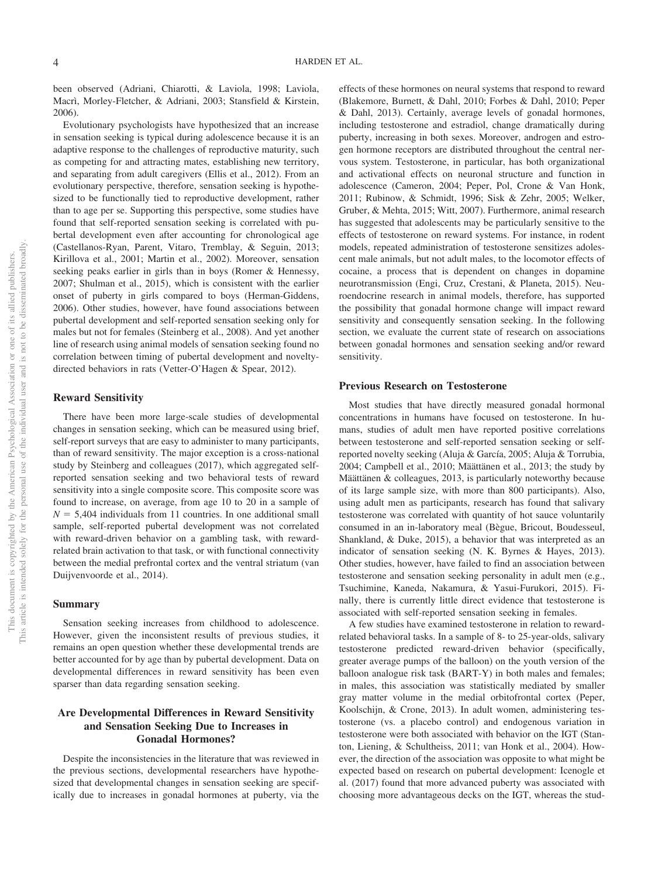been observed (Adriani, Chiarotti, & Laviola, 1998; Laviola, Macrì, Morley-Fletcher, & Adriani, 2003; Stansfield & Kirstein, 2006).

Evolutionary psychologists have hypothesized that an increase in sensation seeking is typical during adolescence because it is an adaptive response to the challenges of reproductive maturity, such as competing for and attracting mates, establishing new territory, and separating from adult caregivers (Ellis et al., 2012). From an evolutionary perspective, therefore, sensation seeking is hypothesized to be functionally tied to reproductive development, rather than to age per se. Supporting this perspective, some studies have found that self-reported sensation seeking is correlated with pubertal development even after accounting for chronological age (Castellanos-Ryan, Parent, Vitaro, Tremblay, & Seguin, 2013; Kirillova et al., 2001; Martin et al., 2002). Moreover, sensation seeking peaks earlier in girls than in boys (Romer & Hennessy, 2007; Shulman et al., 2015), which is consistent with the earlier onset of puberty in girls compared to boys (Herman-Giddens, 2006). Other studies, however, have found associations between pubertal development and self-reported sensation seeking only for males but not for females (Steinberg et al., 2008). And yet another line of research using animal models of sensation seeking found no correlation between timing of pubertal development and noveltydirected behaviors in rats (Vetter-O'Hagen & Spear, 2012).

# **Reward Sensitivity**

There have been more large-scale studies of developmental changes in sensation seeking, which can be measured using brief, self-report surveys that are easy to administer to many participants, than of reward sensitivity. The major exception is a cross-national study by Steinberg and colleagues (2017), which aggregated selfreported sensation seeking and two behavioral tests of reward sensitivity into a single composite score. This composite score was found to increase, on average, from age 10 to 20 in a sample of  $N = 5,404$  individuals from 11 countries. In one additional small sample, self-reported pubertal development was not correlated with reward-driven behavior on a gambling task, with rewardrelated brain activation to that task, or with functional connectivity between the medial prefrontal cortex and the ventral striatum (van Duijvenvoorde et al., 2014).

#### **Summary**

Sensation seeking increases from childhood to adolescence. However, given the inconsistent results of previous studies, it remains an open question whether these developmental trends are better accounted for by age than by pubertal development. Data on developmental differences in reward sensitivity has been even sparser than data regarding sensation seeking.

# **Are Developmental Differences in Reward Sensitivity and Sensation Seeking Due to Increases in Gonadal Hormones?**

Despite the inconsistencies in the literature that was reviewed in the previous sections, developmental researchers have hypothesized that developmental changes in sensation seeking are specifically due to increases in gonadal hormones at puberty, via the effects of these hormones on neural systems that respond to reward (Blakemore, Burnett, & Dahl, 2010; Forbes & Dahl, 2010; Peper & Dahl, 2013). Certainly, average levels of gonadal hormones, including testosterone and estradiol, change dramatically during puberty, increasing in both sexes. Moreover, androgen and estrogen hormone receptors are distributed throughout the central nervous system. Testosterone, in particular, has both organizational and activational effects on neuronal structure and function in adolescence (Cameron, 2004; Peper, Pol, Crone & Van Honk, 2011; Rubinow, & Schmidt, 1996; Sisk & Zehr, 2005; Welker, Gruber, & Mehta, 2015; Witt, 2007). Furthermore, animal research has suggested that adolescents may be particularly sensitive to the effects of testosterone on reward systems. For instance, in rodent models, repeated administration of testosterone sensitizes adolescent male animals, but not adult males, to the locomotor effects of cocaine, a process that is dependent on changes in dopamine neurotransmission (Engi, Cruz, Crestani, & Planeta, 2015). Neuroendocrine research in animal models, therefore, has supported the possibility that gonadal hormone change will impact reward sensitivity and consequently sensation seeking. In the following section, we evaluate the current state of research on associations between gonadal hormones and sensation seeking and/or reward sensitivity.

### **Previous Research on Testosterone**

Most studies that have directly measured gonadal hormonal concentrations in humans have focused on testosterone. In humans, studies of adult men have reported positive correlations between testosterone and self-reported sensation seeking or selfreported novelty seeking (Aluja & García, 2005; Aluja & Torrubia, 2004; Campbell et al., 2010; Määttänen et al., 2013; the study by Määttänen & colleagues, 2013, is particularly noteworthy because of its large sample size, with more than 800 participants). Also, using adult men as participants, research has found that salivary testosterone was correlated with quantity of hot sauce voluntarily consumed in an in-laboratory meal (Bègue, Bricout, Boudesseul, Shankland, & Duke, 2015), a behavior that was interpreted as an indicator of sensation seeking [\(N. K. Byrnes & Hayes, 2013\)](#page-14-1). Other studies, however, have failed to find an association between testosterone and sensation seeking personality in adult men (e.g., Tsuchimine, Kaneda, Nakamura, & Yasui-Furukori, 2015). Finally, there is currently little direct evidence that testosterone is associated with self-reported sensation seeking in females.

A few studies have examined testosterone in relation to rewardrelated behavioral tasks. In a sample of 8- to 25-year-olds, salivary testosterone predicted reward-driven behavior (specifically, greater average pumps of the balloon) on the youth version of the balloon analogue risk task (BART-Y) in both males and females; in males, this association was statistically mediated by smaller gray matter volume in the medial orbitofrontal cortex (Peper, Koolschijn, & Crone, 2013). In adult women, administering testosterone (vs. a placebo control) and endogenous variation in testosterone were both associated with behavior on the IGT (Stanton, Liening, & Schultheiss, 2011; van Honk et al., 2004). However, the direction of the association was opposite to what might be expected based on research on pubertal development: Icenogle et al. (2017) found that more advanced puberty was associated with choosing more advantageous decks on the IGT, whereas the stud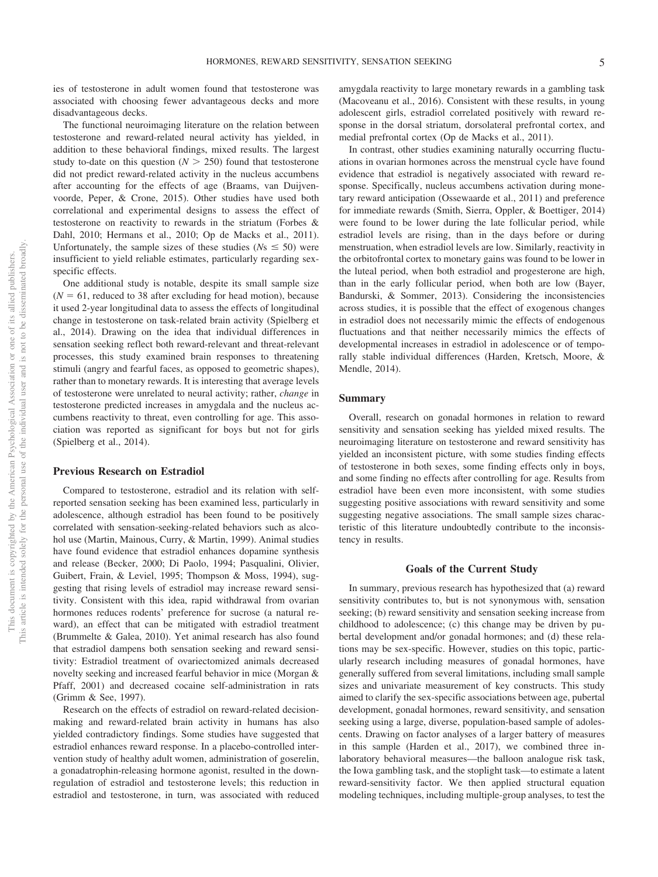ies of testosterone in adult women found that testosterone was associated with choosing fewer advantageous decks and more disadvantageous decks.

The functional neuroimaging literature on the relation between testosterone and reward-related neural activity has yielded, in addition to these behavioral findings, mixed results. The largest study to-date on this question  $(N > 250)$  found that testosterone did not predict reward-related activity in the nucleus accumbens after accounting for the effects of age (Braams, van Duijvenvoorde, Peper, & Crone, 2015). Other studies have used both correlational and experimental designs to assess the effect of testosterone on reactivity to rewards in the striatum (Forbes & Dahl, 2010; Hermans et al., 2010; Op de Macks et al., 2011). Unfortunately, the sample sizes of these studies ( $N_s \leq 50$ ) were insufficient to yield reliable estimates, particularly regarding sexspecific effects.

One additional study is notable, despite its small sample size  $(N = 61$ , reduced to 38 after excluding for head motion), because it used 2-year longitudinal data to assess the effects of longitudinal change in testosterone on task-related brain activity (Spielberg et al., 2014). Drawing on the idea that individual differences in sensation seeking reflect both reward-relevant and threat-relevant processes, this study examined brain responses to threatening stimuli (angry and fearful faces, as opposed to geometric shapes), rather than to monetary rewards. It is interesting that average levels of testosterone were unrelated to neural activity; rather, *change* in testosterone predicted increases in amygdala and the nucleus accumbens reactivity to threat, even controlling for age. This association was reported as significant for boys but not for girls (Spielberg et al., 2014).

#### **Previous Research on Estradiol**

Compared to testosterone, estradiol and its relation with selfreported sensation seeking has been examined less, particularly in adolescence, although estradiol has been found to be positively correlated with sensation-seeking-related behaviors such as alcohol use (Martin, Mainous, Curry, & Martin, 1999). Animal studies have found evidence that estradiol enhances dopamine synthesis and release (Becker, 2000; Di Paolo, 1994; [Pasqualini, Olivier,](#page-16-2) [Guibert, Frain, & Leviel, 1995;](#page-16-2) Thompson & Moss, 1994), suggesting that rising levels of estradiol may increase reward sensitivity. Consistent with this idea, rapid withdrawal from ovarian hormones reduces rodents' preference for sucrose (a natural reward), an effect that can be mitigated with estradiol treatment (Brummelte & Galea, 2010). Yet animal research has also found that estradiol dampens both sensation seeking and reward sensitivity: Estradiol treatment of ovariectomized animals decreased novelty seeking and increased fearful behavior in mice (Morgan & Pfaff, 2001) and decreased cocaine self-administration in rats (Grimm & See, 1997).

Research on the effects of estradiol on reward-related decisionmaking and reward-related brain activity in humans has also yielded contradictory findings. Some studies have suggested that estradiol enhances reward response. In a placebo-controlled intervention study of healthy adult women, administration of goserelin, a gonadatrophin-releasing hormone agonist, resulted in the downregulation of estradiol and testosterone levels; this reduction in estradiol and testosterone, in turn, was associated with reduced amygdala reactivity to large monetary rewards in a gambling task (Macoveanu et al., 2016). Consistent with these results, in young adolescent girls, estradiol correlated positively with reward response in the dorsal striatum, dorsolateral prefrontal cortex, and medial prefrontal cortex (Op de Macks et al., 2011).

In contrast, other studies examining naturally occurring fluctuations in ovarian hormones across the menstrual cycle have found evidence that estradiol is negatively associated with reward response. Specifically, nucleus accumbens activation during monetary reward anticipation [\(Ossewaarde et al., 2011\)](#page-16-3) and preference for immediate rewards (Smith, Sierra, Oppler, & Boettiger, 2014) were found to be lower during the late follicular period, while estradiol levels are rising, than in the days before or during menstruation, when estradiol levels are low. Similarly, reactivity in the orbitofrontal cortex to monetary gains was found to be lower in the luteal period, when both estradiol and progesterone are high, than in the early follicular period, when both are low (Bayer, Bandurski, & Sommer, 2013). Considering the inconsistencies across studies, it is possible that the effect of exogenous changes in estradiol does not necessarily mimic the effects of endogenous fluctuations and that neither necessarily mimics the effects of developmental increases in estradiol in adolescence or of temporally stable individual differences (Harden, Kretsch, Moore, & Mendle, 2014).

#### **Summary**

Overall, research on gonadal hormones in relation to reward sensitivity and sensation seeking has yielded mixed results. The neuroimaging literature on testosterone and reward sensitivity has yielded an inconsistent picture, with some studies finding effects of testosterone in both sexes, some finding effects only in boys, and some finding no effects after controlling for age. Results from estradiol have been even more inconsistent, with some studies suggesting positive associations with reward sensitivity and some suggesting negative associations. The small sample sizes characteristic of this literature undoubtedly contribute to the inconsistency in results.

#### **Goals of the Current Study**

In summary, previous research has hypothesized that (a) reward sensitivity contributes to, but is not synonymous with, sensation seeking; (b) reward sensitivity and sensation seeking increase from childhood to adolescence; (c) this change may be driven by pubertal development and/or gonadal hormones; and (d) these relations may be sex-specific. However, studies on this topic, particularly research including measures of gonadal hormones, have generally suffered from several limitations, including small sample sizes and univariate measurement of key constructs. This study aimed to clarify the sex-specific associations between age, pubertal development, gonadal hormones, reward sensitivity, and sensation seeking using a large, diverse, population-based sample of adolescents. Drawing on factor analyses of a larger battery of measures in this sample (Harden et al., 2017), we combined three inlaboratory behavioral measures—the balloon analogue risk task, the Iowa gambling task, and the stoplight task—to estimate a latent reward-sensitivity factor. We then applied structural equation modeling techniques, including multiple-group analyses, to test the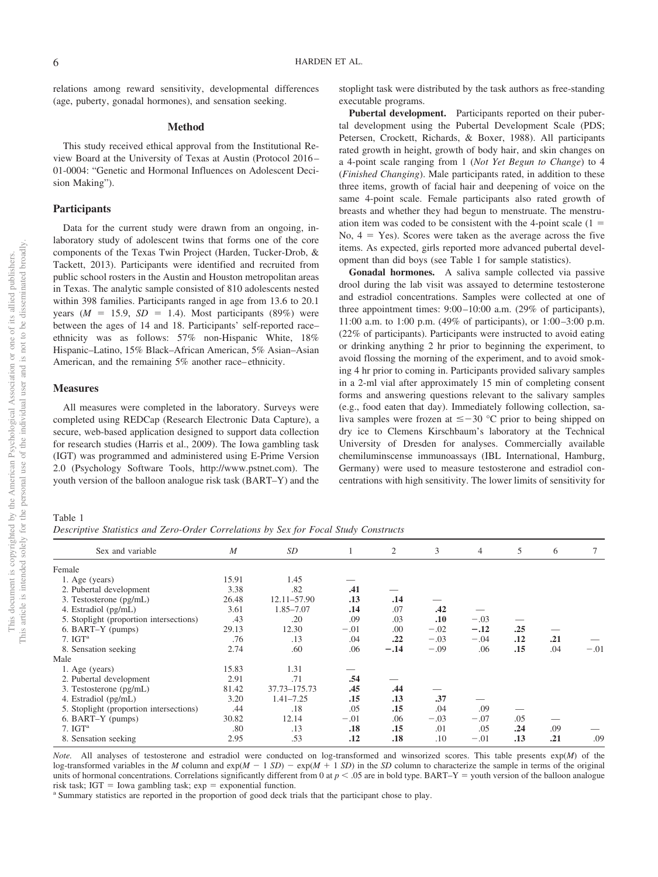relations among reward sensitivity, developmental differences (age, puberty, gonadal hormones), and sensation seeking.

#### **Method**

This study received ethical approval from the Institutional Review Board at the University of Texas at Austin (Protocol 2016– 01-0004: "Genetic and Hormonal Influences on Adolescent Decision Making").

#### **Participants**

Data for the current study were drawn from an ongoing, inlaboratory study of adolescent twins that forms one of the core components of the Texas Twin Project (Harden, Tucker-Drob, & Tackett, 2013). Participants were identified and recruited from public school rosters in the Austin and Houston metropolitan areas in Texas. The analytic sample consisted of 810 adolescents nested within 398 families. Participants ranged in age from 13.6 to 20.1 years  $(M = 15.9, SD = 1.4)$ . Most participants  $(89\%)$  were between the ages of 14 and 18. Participants' self-reported race– ethnicity was as follows: 57% non-Hispanic White, 18% Hispanic–Latino, 15% Black–African American, 5% Asian–Asian American, and the remaining 5% another race–ethnicity.

# **Measures**

All measures were completed in the laboratory. Surveys were completed using REDCap (Research Electronic Data Capture), a secure, web-based application designed to support data collection for research studies (Harris et al., 2009). The Iowa gambling task (IGT) was programmed and administered using E-Prime Version 2.0 (Psychology Software Tools, [http://www.pstnet.com\)](http://www.pstnet.com). The youth version of the balloon analogue risk task (BART–Y) and the stoplight task were distributed by the task authors as free-standing executable programs.

**Pubertal development.** Participants reported on their pubertal development using the Pubertal Development Scale (PDS; Petersen, Crockett, Richards, & Boxer, 1988). All participants rated growth in height, growth of body hair, and skin changes on a 4-point scale ranging from 1 (*Not Yet Begun to Change*) to 4 (*Finished Changing*). Male participants rated, in addition to these three items, growth of facial hair and deepening of voice on the same 4-point scale. Female participants also rated growth of breasts and whether they had begun to menstruate. The menstruation item was coded to be consistent with the 4-point scale  $(1 =$ No,  $4 = \text{Yes}$ ). Scores were taken as the average across the five items. As expected, girls reported more advanced pubertal development than did boys (see [Table 1](#page-6-0) for sample statistics).

**Gonadal hormones.** A saliva sample collected via passive drool during the lab visit was assayed to determine testosterone and estradiol concentrations. Samples were collected at one of three appointment times: 9:00–10:00 a.m. (29% of participants), 11:00 a.m. to 1:00 p.m. (49% of participants), or 1:00–3:00 p.m. (22% of participants). Participants were instructed to avoid eating or drinking anything 2 hr prior to beginning the experiment, to avoid flossing the morning of the experiment, and to avoid smoking 4 hr prior to coming in. Participants provided salivary samples in a 2-ml vial after approximately 15 min of completing consent forms and answering questions relevant to the salivary samples (e.g., food eaten that day). Immediately following collection, saliva samples were frozen at  $\leq -30$  °C prior to being shipped on dry ice to Clemens Kirschbaum's laboratory at the Technical University of Dresden for analyses. Commercially available chemiluminscense immunoassays (IBL International, Hamburg, Germany) were used to measure testosterone and estradiol concentrations with high sensitivity. The lower limits of sensitivity for

# <span id="page-6-0"></span>Table 1

*Descriptive Statistics and Zero-Order Correlations by Sex for Focal Study Constructs*

| $\boldsymbol{M}$ | SD            | 1      | $\mathfrak{2}$ | 3      | $\overline{4}$ | 5   | 6   | 7      |
|------------------|---------------|--------|----------------|--------|----------------|-----|-----|--------|
|                  |               |        |                |        |                |     |     |        |
| 15.91            | 1.45          |        |                |        |                |     |     |        |
| 3.38             | .82           | .41    |                |        |                |     |     |        |
| 26.48            | 12.11-57.90   | .13    | .14            |        |                |     |     |        |
| 3.61             | 1.85-7.07     | .14    | .07            | .42    |                |     |     |        |
| .43              | .20           | .09    | .03            | .10    | $-.03$         |     |     |        |
| 29.13            | 12.30         | $-.01$ | .00.           | $-.02$ | $-.12$         | .25 |     |        |
| .76              | .13           | .04    | .22            | $-.03$ | $-.04$         | .12 | .21 |        |
| 2.74             | .60           | .06    | $-.14$         | $-.09$ | .06            | .15 | .04 | $-.01$ |
|                  |               |        |                |        |                |     |     |        |
| 15.83            | 1.31          |        |                |        |                |     |     |        |
| 2.91             | .71           | .54    |                |        |                |     |     |        |
| 81.42            | 37.73-175.73  | .45    | .44            |        |                |     |     |        |
| 3.20             | $1.41 - 7.25$ | .15    | .13            | .37    |                |     |     |        |
| .44              | .18           | .05    | .15            | .04    | .09            |     |     |        |
| 30.82            | 12.14         | $-.01$ | .06            | $-.03$ | $-.07$         | .05 |     |        |
| .80              | .13           | .18    | .15            | .01    | .05            | .24 | .09 |        |
| 2.95             | .53           | .12    | .18            | .10    | $-.01$         | .13 | .21 | .09    |
|                  |               |        |                |        |                |     |     |        |

*Note.* All analyses of testosterone and estradiol were conducted on log-transformed and winsorized scores. This table presents exp(*M*) of the log-transformed variables in the *M* column and  $exp(M - 1 SD) - exp(M + 1 SD)$  in the *SD* column to characterize the sample in terms of the original units of hormonal concentrations. Correlations significantly different from 0 at  $p < .05$  are in bold type. BART–Y = youth version of the balloon analogue risk task;  $IGT = Iowa$  gambling task;  $exp =$ 

<sup>a</sup> Summary statistics are reported in the proportion of good deck trials that the participant chose to play.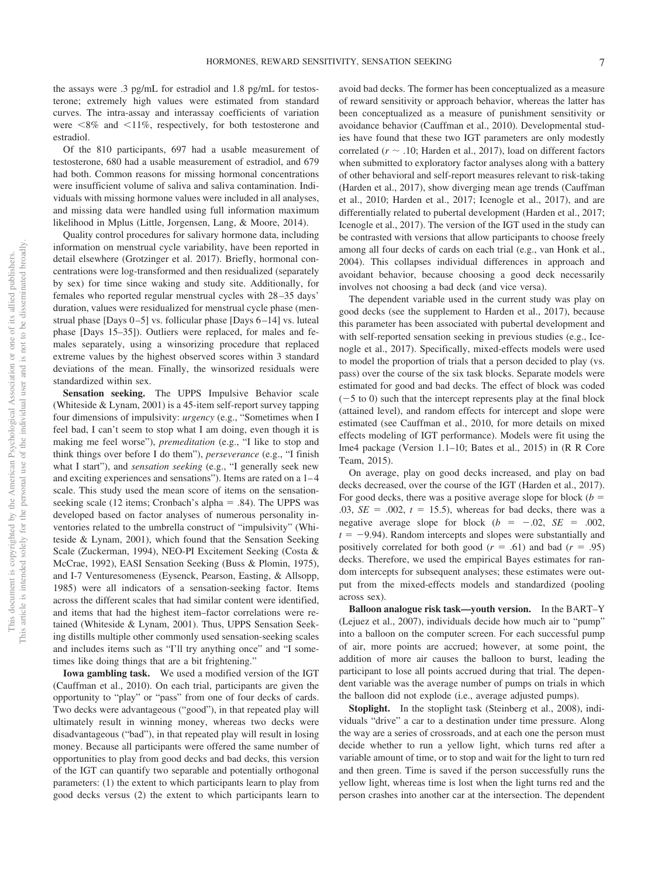the assays were .3 pg/mL for estradiol and 1.8 pg/mL for testosterone; extremely high values were estimated from standard curves. The intra-assay and interassay coefficients of variation were  $\leq 8\%$  and  $\leq 11\%$ , respectively, for both testosterone and estradiol.

Of the 810 participants, 697 had a usable measurement of testosterone, 680 had a usable measurement of estradiol, and 679 had both. Common reasons for missing hormonal concentrations were insufficient volume of saliva and saliva contamination. Individuals with missing hormone values were included in all analyses, and missing data were handled using full information maximum likelihood in Mplus (Little, Jorgensen, Lang, & Moore, 2014).

Quality control procedures for salivary hormone data, including information on menstrual cycle variability, have been reported in detail elsewhere (Grotzinger et al. 2017). Briefly, hormonal concentrations were log-transformed and then residualized (separately by sex) for time since waking and study site. Additionally, for females who reported regular menstrual cycles with 28–35 days' duration, values were residualized for menstrual cycle phase (menstrual phase [Days 0–5] vs. follicular phase [Days 6–14] vs. luteal phase [Days 15–35]). Outliers were replaced, for males and females separately, using a winsorizing procedure that replaced extreme values by the highest observed scores within 3 standard deviations of the mean. Finally, the winsorized residuals were standardized within sex.

**Sensation seeking.** The UPPS Impulsive Behavior scale (Whiteside & Lynam, 2001) is a 45-item self-report survey tapping four dimensions of impulsivity: *urgency* (e.g., "Sometimes when I feel bad, I can't seem to stop what I am doing, even though it is making me feel worse"), *premeditation* (e.g., "I like to stop and think things over before I do them"), *perseverance* (e.g., "I finish what I start"), and *sensation seeking* (e.g., "I generally seek new and exciting experiences and sensations"). Items are rated on a 1–4 scale. This study used the mean score of items on the sensationseeking scale  $(12 \text{ items}; \text{Crohach's alpha} = .84)$ . The UPPS was developed based on factor analyses of numerous personality inventories related to the umbrella construct of "impulsivity" (Whiteside & Lynam, 2001), which found that the Sensation Seeking Scale (Zuckerman, 1994), NEO-PI Excitement Seeking (Costa & McCrae, 1992), EASI Sensation Seeking (Buss & Plomin, 1975), and I-7 Venturesomeness (Eysenck, Pearson, Easting, & Allsopp, 1985) were all indicators of a sensation-seeking factor. Items across the different scales that had similar content were identified, and items that had the highest item–factor correlations were retained (Whiteside & Lynam, 2001). Thus, UPPS Sensation Seeking distills multiple other commonly used sensation-seeking scales and includes items such as "I'll try anything once" and "I sometimes like doing things that are a bit frightening."

**Iowa gambling task.** We used a modified version of the IGT (Cauffman et al., 2010). On each trial, participants are given the opportunity to "play" or "pass" from one of four decks of cards. Two decks were advantageous ("good"), in that repeated play will ultimately result in winning money, whereas two decks were disadvantageous ("bad"), in that repeated play will result in losing money. Because all participants were offered the same number of opportunities to play from good decks and bad decks, this version of the IGT can quantify two separable and potentially orthogonal parameters: (1) the extent to which participants learn to play from good decks versus (2) the extent to which participants learn to

avoid bad decks. The former has been conceptualized as a measure of reward sensitivity or approach behavior, whereas the latter has been conceptualized as a measure of punishment sensitivity or avoidance behavior (Cauffman et al., 2010). Developmental studies have found that these two IGT parameters are only modestly correlated ( $r \sim .10$ ; Harden et al., 2017), load on different factors when submitted to exploratory factor analyses along with a battery of other behavioral and self-report measures relevant to risk-taking (Harden et al., 2017), show diverging mean age trends (Cauffman et al., 2010; Harden et al., 2017; Icenogle et al., 2017), and are differentially related to pubertal development (Harden et al., 2017; Icenogle et al., 2017). The version of the IGT used in the study can be contrasted with versions that allow participants to choose freely among all four decks of cards on each trial (e.g., van Honk et al., 2004). This collapses individual differences in approach and avoidant behavior, because choosing a good deck necessarily involves not choosing a bad deck (and vice versa).

The dependent variable used in the current study was play on good decks (see the supplement to Harden et al., 2017), because this parameter has been associated with pubertal development and with self-reported sensation seeking in previous studies (e.g., Icenogle et al., 2017). Specifically, mixed-effects models were used to model the proportion of trials that a person decided to play (vs. pass) over the course of the six task blocks. Separate models were estimated for good and bad decks. The effect of block was coded  $(-5 \text{ to } 0)$  such that the intercept represents play at the final block (attained level), and random effects for intercept and slope were estimated (see Cauffman et al., 2010, for more details on mixed effects modeling of IGT performance). Models were fit using the lme4 package (Version 1.1–10; Bates et al., 2015) in (R R Core Team, 2015).

On average, play on good decks increased, and play on bad decks decreased, over the course of the IGT (Harden et al., 2017). For good decks, there was a positive average slope for block  $(b =$  $.03, SE = .002, t = 15.5$ , whereas for bad decks, there was a negative average slope for block  $(b = -.02, SE = .002,$  $t = -9.94$ ). Random intercepts and slopes were substantially and positively correlated for both good  $(r = .61)$  and bad  $(r = .95)$ decks. Therefore, we used the empirical Bayes estimates for random intercepts for subsequent analyses; these estimates were output from the mixed-effects models and standardized (pooling across sex).

**Balloon analogue risk task—youth version.** In the BART–Y (Lejuez et al., 2007), individuals decide how much air to "pump" into a balloon on the computer screen. For each successful pump of air, more points are accrued; however, at some point, the addition of more air causes the balloon to burst, leading the participant to lose all points accrued during that trial. The dependent variable was the average number of pumps on trials in which the balloon did not explode (i.e., average adjusted pumps).

**Stoplight.** In the stoplight task (Steinberg et al., 2008), individuals "drive" a car to a destination under time pressure. Along the way are a series of crossroads, and at each one the person must decide whether to run a yellow light, which turns red after a variable amount of time, or to stop and wait for the light to turn red and then green. Time is saved if the person successfully runs the yellow light, whereas time is lost when the light turns red and the person crashes into another car at the intersection. The dependent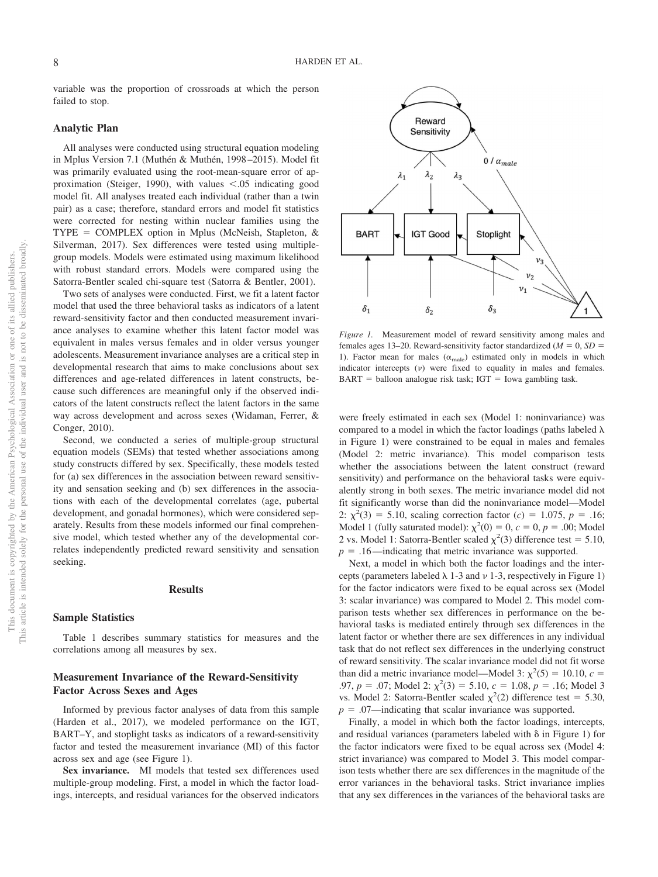variable was the proportion of crossroads at which the person failed to stop.

#### **Analytic Plan**

All analyses were conducted using structural equation modeling in Mplus Version 7.1 (Muthén & Muthén, 1998–2015). Model fit was primarily evaluated using the root-mean-square error of approximation (Steiger, 1990), with values  $\lt$  0.05 indicating good model fit. All analyses treated each individual (rather than a twin pair) as a case; therefore, standard errors and model fit statistics were corrected for nesting within nuclear families using the  $\text{TYPE} = \text{COMPLEX}$  option in Mplus (McNeish, Stapleton, & Silverman, 2017). Sex differences were tested using multiplegroup models. Models were estimated using maximum likelihood with robust standard errors. Models were compared using the Satorra-Bentler scaled chi-square test (Satorra & Bentler, 2001).

Two sets of analyses were conducted. First, we fit a latent factor model that used the three behavioral tasks as indicators of a latent reward-sensitivity factor and then conducted measurement invariance analyses to examine whether this latent factor model was equivalent in males versus females and in older versus younger adolescents. Measurement invariance analyses are a critical step in developmental research that aims to make conclusions about sex differences and age-related differences in latent constructs, because such differences are meaningful only if the observed indicators of the latent constructs reflect the latent factors in the same way across development and across sexes (Widaman, Ferrer, & Conger, 2010).

Second, we conducted a series of multiple-group structural equation models (SEMs) that tested whether associations among study constructs differed by sex. Specifically, these models tested for (a) sex differences in the association between reward sensitivity and sensation seeking and (b) sex differences in the associations with each of the developmental correlates (age, pubertal development, and gonadal hormones), which were considered separately. Results from these models informed our final comprehensive model, which tested whether any of the developmental correlates independently predicted reward sensitivity and sensation seeking.

#### **Results**

#### **Sample Statistics**

[Table 1](#page-6-0) describes summary statistics for measures and the correlations among all measures by sex.

# **Measurement Invariance of the Reward-Sensitivity Factor Across Sexes and Ages**

Informed by previous factor analyses of data from this sample (Harden et al., 2017), we modeled performance on the IGT, BART–Y, and stoplight tasks as indicators of a reward-sensitivity factor and tested the measurement invariance (MI) of this factor across sex and age (see Figure 1).

**Sex invariance.** MI models that tested sex differences used multiple-group modeling. First, a model in which the factor loadings, intercepts, and residual variances for the observed indicators



*Figure 1.* Measurement model of reward sensitivity among males and females ages 13–20. Reward-sensitivity factor standardized  $(M = 0, SD =$ 1). Factor mean for males  $(\alpha_{\rm male})$  estimated only in models in which indicator intercepts ( ) were fixed to equality in males and females.  $BART = balloon$  analogue risk task; IGT = Iowa gambling task.

were freely estimated in each sex (Model 1: noninvariance) was compared to a model in which the factor loadings (paths labeled  $\lambda$ ) in Figure 1) were constrained to be equal in males and females (Model 2: metric invariance). This model comparison tests whether the associations between the latent construct (reward sensitivity) and performance on the behavioral tasks were equivalently strong in both sexes. The metric invariance model did not fit significantly worse than did the noninvariance model—Model 2:  $\chi^2(3) = 5.10$ , scaling correction factor (*c*) = 1.075, *p* = .16; Model 1 (fully saturated model):  $\chi^2(0) = 0, c = 0, p = .00$ ; Model 2 vs. Model 1: Satorra-Bentler scaled  $\chi^2(3)$  difference test = 5.10,  $p = .16$ —indicating that metric invariance was supported.

Next, a model in which both the factor loadings and the intercepts (parameters labeled  $\lambda$  1-3 and  $\nu$  1-3, respectively in Figure 1) for the factor indicators were fixed to be equal across sex (Model 3: scalar invariance) was compared to Model 2. This model comparison tests whether sex differences in performance on the behavioral tasks is mediated entirely through sex differences in the latent factor or whether there are sex differences in any individual task that do not reflect sex differences in the underlying construct of reward sensitivity. The scalar invariance model did not fit worse than did a metric invariance model—Model 3:  $\chi^2(5) = 10.10$ ,  $c =$ .97,  $p = .07$ ; Model 2:  $\chi^2(3) = 5.10$ ,  $c = 1.08$ ,  $p = .16$ ; Model 3 vs. Model 2: Satorra-Bentler scaled  $\chi^2(2)$  difference test = 5.30,  $p = .07$ —indicating that scalar invariance was supported.

Finally, a model in which both the factor loadings, intercepts, and residual variances (parameters labeled with  $\delta$  in Figure 1) for the factor indicators were fixed to be equal across sex (Model 4: strict invariance) was compared to Model 3. This model comparison tests whether there are sex differences in the magnitude of the error variances in the behavioral tasks. Strict invariance implies that any sex differences in the variances of the behavioral tasks are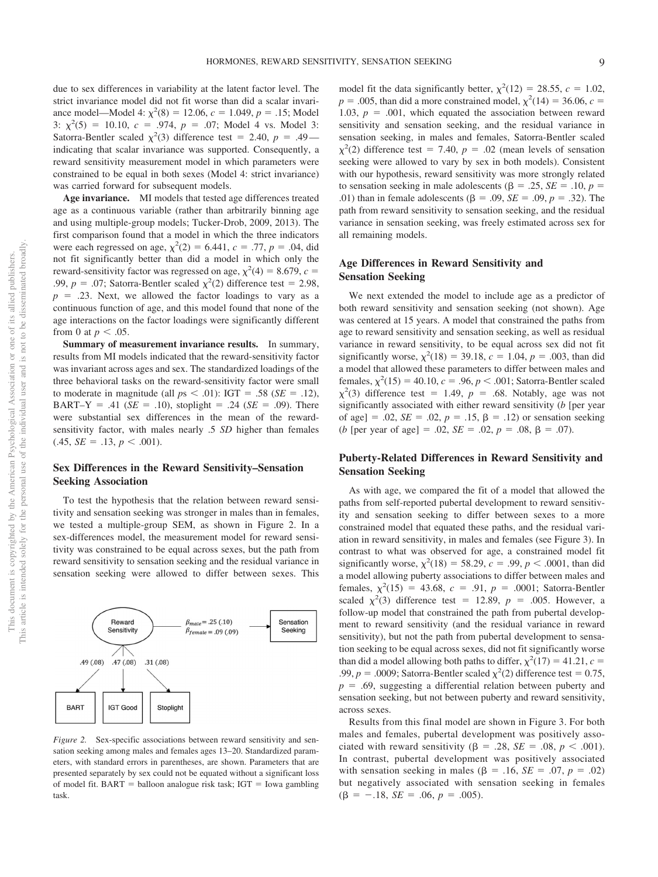due to sex differences in variability at the latent factor level. The strict invariance model did not fit worse than did a scalar invariance model—Model 4:  $\chi^2(8) = 12.06$ ,  $c = 1.049$ ,  $p = .15$ ; Model 3:  $\chi^2(5) = 10.10$ ,  $c = .974$ ,  $p = .07$ ; Model 4 vs. Model 3: Satorra-Bentler scaled  $\chi^2(3)$  difference test = 2.40, *p* = .49 indicating that scalar invariance was supported. Consequently, a reward sensitivity measurement model in which parameters were constrained to be equal in both sexes (Model 4: strict invariance) was carried forward for subsequent models.

**Age invariance.** MI models that tested age differences treated age as a continuous variable (rather than arbitrarily binning age and using multiple-group models; Tucker-Drob, 2009, 2013). The first comparison found that a model in which the three indicators were each regressed on age,  $\chi^2(2) = 6.441$ ,  $c = .77$ ,  $p = .04$ , did not fit significantly better than did a model in which only the reward-sensitivity factor was regressed on age,  $\chi^2(4) = 8.679$ ,  $c =$ .99,  $p = .07$ ; Satorra-Bentler scaled  $\chi^2(2)$  difference test = 2.98,  $p = 0.23$ . Next, we allowed the factor loadings to vary as a continuous function of age, and this model found that none of the age interactions on the factor loadings were significantly different from 0 at  $p < .05$ .

**Summary of measurement invariance results.** In summary, results from MI models indicated that the reward-sensitivity factor was invariant across ages and sex. The standardized loadings of the three behavioral tasks on the reward-sensitivity factor were small to moderate in magnitude (all  $ps < .01$ ): IGT = .58 ( $SE = .12$ ), BART–Y = .41 ( $SE = .10$ ), stoplight = .24 ( $SE = .09$ ). There were substantial sex differences in the mean of the rewardsensitivity factor, with males nearly .5 *SD* higher than females  $(.45, SE = .13, p < .001).$ 

# **Sex Differences in the Reward Sensitivity–Sensation Seeking Association**

To test the hypothesis that the relation between reward sensitivity and sensation seeking was stronger in males than in females, we tested a multiple-group SEM, as shown in Figure 2. In a sex-differences model, the measurement model for reward sensitivity was constrained to be equal across sexes, but the path from reward sensitivity to sensation seeking and the residual variance in sensation seeking were allowed to differ between sexes. This



*Figure 2.* Sex-specific associations between reward sensitivity and sensation seeking among males and females ages 13–20. Standardized parameters, with standard errors in parentheses, are shown. Parameters that are presented separately by sex could not be equated without a significant loss of model fit.  $BART =$  balloon analogue risk task;  $IGT =$  Iowa gambling task.

model fit the data significantly better,  $\chi^2(12) = 28.55$ ,  $c = 1.02$ ,  $p = .005$ , than did a more constrained model,  $\chi^2(14) = 36.06$ ,  $c =$ 1.03,  $p = .001$ , which equated the association between reward sensitivity and sensation seeking, and the residual variance in sensation seeking, in males and females, Satorra-Bentler scaled  $\chi^2$ (2) difference test = 7.40, *p* = .02 (mean levels of sensation seeking were allowed to vary by sex in both models). Consistent with our hypothesis, reward sensitivity was more strongly related to sensation seeking in male adolescents ( $\beta = .25$ ,  $SE = .10$ ,  $p =$ .01) than in female adolescents ( $\beta = .09$ ,  $SE = .09$ ,  $p = .32$ ). The path from reward sensitivity to sensation seeking, and the residual variance in sensation seeking, was freely estimated across sex for all remaining models.

# **Age Differences in Reward Sensitivity and Sensation Seeking**

We next extended the model to include age as a predictor of both reward sensitivity and sensation seeking (not shown). Age was centered at 15 years. A model that constrained the paths from age to reward sensitivity and sensation seeking, as well as residual variance in reward sensitivity, to be equal across sex did not fit significantly worse,  $\chi^2(18) = 39.18$ ,  $c = 1.04$ ,  $p = .003$ , than did a model that allowed these parameters to differ between males and females,  $\chi^2(15) = 40.10$ ,  $c = .96$ ,  $p < .001$ ; Satorra-Bentler scaled  $\chi^2(3)$  difference test = 1.49, *p* = .68. Notably, age was not significantly associated with either reward sensitivity (*b* [per year of age] = .02,  $SE = .02$ ,  $p = .15$ ,  $\beta = .12$ ) or sensation seeking (*b* [per year of age] = .02,  $SE = .02$ ,  $p = .08$ ,  $\beta = .07$ ).

# **Puberty-Related Differences in Reward Sensitivity and Sensation Seeking**

As with age, we compared the fit of a model that allowed the paths from self-reported pubertal development to reward sensitivity and sensation seeking to differ between sexes to a more constrained model that equated these paths, and the residual variation in reward sensitivity, in males and females (see Figure 3). In contrast to what was observed for age, a constrained model fit significantly worse,  $\chi^2(18) = 58.29$ ,  $c = .99$ ,  $p < .0001$ , than did a model allowing puberty associations to differ between males and females,  $\chi^2(15) = 43.68$ ,  $c = .91$ ,  $p = .0001$ ; Satorra-Bentler scaled  $\chi^2(3)$  difference test = 12.89,  $p = .005$ . However, a follow-up model that constrained the path from pubertal development to reward sensitivity (and the residual variance in reward sensitivity), but not the path from pubertal development to sensation seeking to be equal across sexes, did not fit significantly worse than did a model allowing both paths to differ,  $\chi^2(17) = 41.21$ ,  $c =$ .99,  $p = .0009$ ; Satorra-Bentler scaled  $\chi^2(2)$  difference test = 0.75,  $p = .69$ , suggesting a differential relation between puberty and sensation seeking, but not between puberty and reward sensitivity, across sexes.

Results from this final model are shown in Figure 3. For both males and females, pubertal development was positively associated with reward sensitivity ( $\beta = .28$ ,  $SE = .08$ ,  $p < .001$ ). In contrast, pubertal development was positively associated with sensation seeking in males ( $\beta$  = .16, *SE* = .07, *p* = .02) but negatively associated with sensation seeking in females  $(\beta = -.18, SE = .06, p = .005).$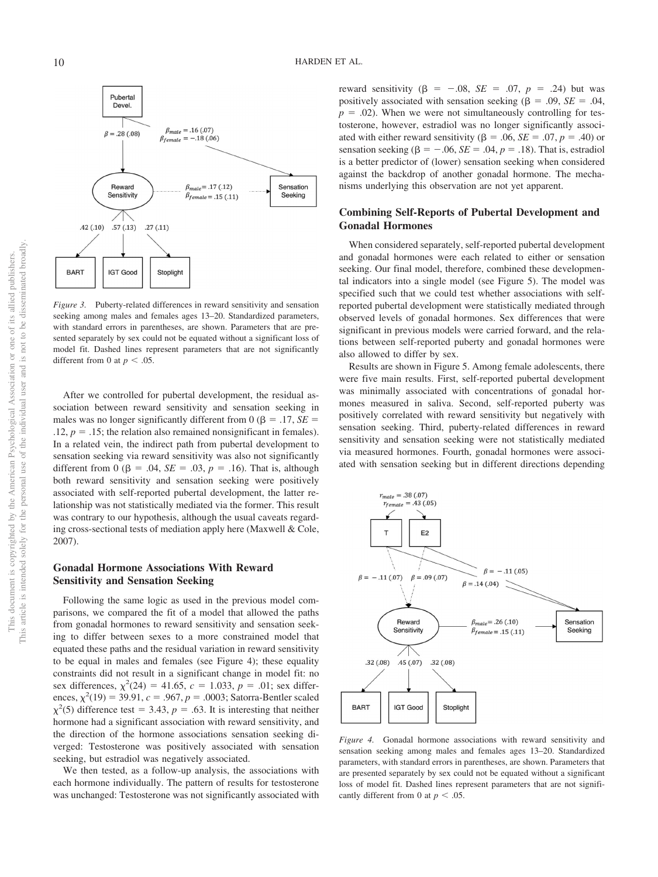

*Figure 3.* Puberty-related differences in reward sensitivity and sensation seeking among males and females ages 13–20. Standardized parameters, with standard errors in parentheses, are shown. Parameters that are presented separately by sex could not be equated without a significant loss of model fit. Dashed lines represent parameters that are not significantly different from 0 at  $p < .05$ .

After we controlled for pubertal development, the residual association between reward sensitivity and sensation seeking in males was no longer significantly different from  $0 (\beta = .17, SE = .17)$  $.12, p = .15$ ; the relation also remained nonsignificant in females). In a related vein, the indirect path from pubertal development to sensation seeking via reward sensitivity was also not significantly different from 0 ( $\beta = .04$ ,  $SE = .03$ ,  $p = .16$ ). That is, although both reward sensitivity and sensation seeking were positively associated with self-reported pubertal development, the latter relationship was not statistically mediated via the former. This result was contrary to our hypothesis, although the usual caveats regarding cross-sectional tests of mediation apply here (Maxwell & Cole, 2007).

# **Gonadal Hormone Associations With Reward Sensitivity and Sensation Seeking**

Following the same logic as used in the previous model comparisons, we compared the fit of a model that allowed the paths from gonadal hormones to reward sensitivity and sensation seeking to differ between sexes to a more constrained model that equated these paths and the residual variation in reward sensitivity to be equal in males and females (see Figure 4); these equality constraints did not result in a significant change in model fit: no sex differences,  $\chi^2(24) = 41.65$ ,  $c = 1.033$ ,  $p = .01$ ; sex differences,  $\chi^2(19) = 39.91$ ,  $c = .967$ ,  $p = .0003$ ; Satorra-Bentler scaled  $\chi^2$ (5) difference test = 3.43, *p* = .63. It is interesting that neither hormone had a significant association with reward sensitivity, and the direction of the hormone associations sensation seeking diverged: Testosterone was positively associated with sensation seeking, but estradiol was negatively associated.

We then tested, as a follow-up analysis, the associations with each hormone individually. The pattern of results for testosterone was unchanged: Testosterone was not significantly associated with

reward sensitivity ( $\beta = -.08$ ,  $SE = .07$ ,  $p = .24$ ) but was positively associated with sensation seeking ( $\beta = .09$ ,  $SE = .04$ ,  $p = .02$ ). When we were not simultaneously controlling for testosterone, however, estradiol was no longer significantly associated with either reward sensitivity ( $\beta = .06$ ,  $SE = .07$ ,  $p = .40$ ) or sensation seeking ( $\beta = -.06$ ,  $SE = .04$ ,  $p = .18$ ). That is, estradiol is a better predictor of (lower) sensation seeking when considered against the backdrop of another gonadal hormone. The mechanisms underlying this observation are not yet apparent.

# **Combining Self-Reports of Pubertal Development and Gonadal Hormones**

When considered separately, self-reported pubertal development and gonadal hormones were each related to either or sensation seeking. Our final model, therefore, combined these developmental indicators into a single model (see Figure 5). The model was specified such that we could test whether associations with selfreported pubertal development were statistically mediated through observed levels of gonadal hormones. Sex differences that were significant in previous models were carried forward, and the relations between self-reported puberty and gonadal hormones were also allowed to differ by sex.

Results are shown in Figure 5. Among female adolescents, there were five main results. First, self-reported pubertal development was minimally associated with concentrations of gonadal hormones measured in saliva. Second, self-reported puberty was positively correlated with reward sensitivity but negatively with sensation seeking. Third, puberty-related differences in reward sensitivity and sensation seeking were not statistically mediated via measured hormones. Fourth, gonadal hormones were associated with sensation seeking but in different directions depending



*Figure 4.* Gonadal hormone associations with reward sensitivity and sensation seeking among males and females ages 13–20. Standardized parameters, with standard errors in parentheses, are shown. Parameters that are presented separately by sex could not be equated without a significant loss of model fit. Dashed lines represent parameters that are not significantly different from 0 at  $p < .05$ .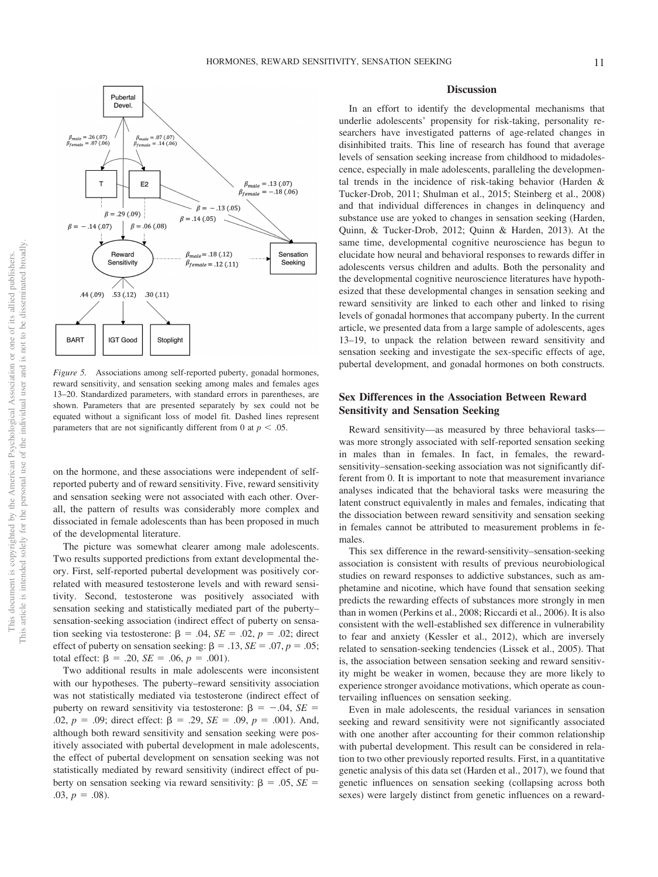

*Figure 5.* Associations among self-reported puberty, gonadal hormones, reward sensitivity, and sensation seeking among males and females ages 13–20. Standardized parameters, with standard errors in parentheses, are shown. Parameters that are presented separately by sex could not be equated without a significant loss of model fit. Dashed lines represent parameters that are not significantly different from 0 at  $p < .05$ .

on the hormone, and these associations were independent of selfreported puberty and of reward sensitivity. Five, reward sensitivity and sensation seeking were not associated with each other. Overall, the pattern of results was considerably more complex and dissociated in female adolescents than has been proposed in much of the developmental literature.

The picture was somewhat clearer among male adolescents. Two results supported predictions from extant developmental theory. First, self-reported pubertal development was positively correlated with measured testosterone levels and with reward sensitivity. Second, testosterone was positively associated with sensation seeking and statistically mediated part of the puberty– sensation-seeking association (indirect effect of puberty on sensation seeking via testosterone:  $\beta = .04$ ,  $SE = .02$ ,  $p = .02$ ; direct effect of puberty on sensation seeking:  $\beta = .13$ ,  $SE = .07$ ,  $p = .05$ ; total effect:  $\beta = .20$ ,  $SE = .06$ ,  $p = .001$ ).

Two additional results in male adolescents were inconsistent with our hypotheses. The puberty–reward sensitivity association was not statistically mediated via testosterone (indirect effect of puberty on reward sensitivity via testosterone:  $\beta = -.04$ ,  $SE =$ .02,  $p = .09$ ; direct effect:  $\beta = .29$ ,  $SE = .09$ ,  $p = .001$ ). And, although both reward sensitivity and sensation seeking were positively associated with pubertal development in male adolescents, the effect of pubertal development on sensation seeking was not statistically mediated by reward sensitivity (indirect effect of puberty on sensation seeking via reward sensitivity:  $\beta = .05$ ,  $SE =$  $.03, p = .08$ .

# **Discussion**

In an effort to identify the developmental mechanisms that underlie adolescents' propensity for risk-taking, personality researchers have investigated patterns of age-related changes in disinhibited traits. This line of research has found that average levels of sensation seeking increase from childhood to midadolescence, especially in male adolescents, paralleling the developmental trends in the incidence of risk-taking behavior (Harden & Tucker-Drob, 2011; Shulman et al., 2015; Steinberg et al., 2008) and that individual differences in changes in delinquency and substance use are yoked to changes in sensation seeking (Harden, Quinn, & Tucker-Drob, 2012; Quinn & Harden, 2013). At the same time, developmental cognitive neuroscience has begun to elucidate how neural and behavioral responses to rewards differ in adolescents versus children and adults. Both the personality and the developmental cognitive neuroscience literatures have hypothesized that these developmental changes in sensation seeking and reward sensitivity are linked to each other and linked to rising levels of gonadal hormones that accompany puberty. In the current article, we presented data from a large sample of adolescents, ages 13–19, to unpack the relation between reward sensitivity and sensation seeking and investigate the sex-specific effects of age, pubertal development, and gonadal hormones on both constructs.

# **Sex Differences in the Association Between Reward Sensitivity and Sensation Seeking**

Reward sensitivity—as measured by three behavioral tasks was more strongly associated with self-reported sensation seeking in males than in females. In fact, in females, the rewardsensitivity–sensation-seeking association was not significantly different from 0. It is important to note that measurement invariance analyses indicated that the behavioral tasks were measuring the latent construct equivalently in males and females, indicating that the dissociation between reward sensitivity and sensation seeking in females cannot be attributed to measurement problems in females.

This sex difference in the reward-sensitivity–sensation-seeking association is consistent with results of previous neurobiological studies on reward responses to addictive substances, such as amphetamine and nicotine, which have found that sensation seeking predicts the rewarding effects of substances more strongly in men than in women (Perkins et al., 2008; Riccardi et al., 2006). It is also consistent with the well-established sex difference in vulnerability to fear and anxiety (Kessler et al., 2012), which are inversely related to sensation-seeking tendencies (Lissek et al., 2005). That is, the association between sensation seeking and reward sensitivity might be weaker in women, because they are more likely to experience stronger avoidance motivations, which operate as countervailing influences on sensation seeking.

Even in male adolescents, the residual variances in sensation seeking and reward sensitivity were not significantly associated with one another after accounting for their common relationship with pubertal development. This result can be considered in relation to two other previously reported results. First, in a quantitative genetic analysis of this data set (Harden et al., 2017), we found that genetic influences on sensation seeking (collapsing across both sexes) were largely distinct from genetic influences on a reward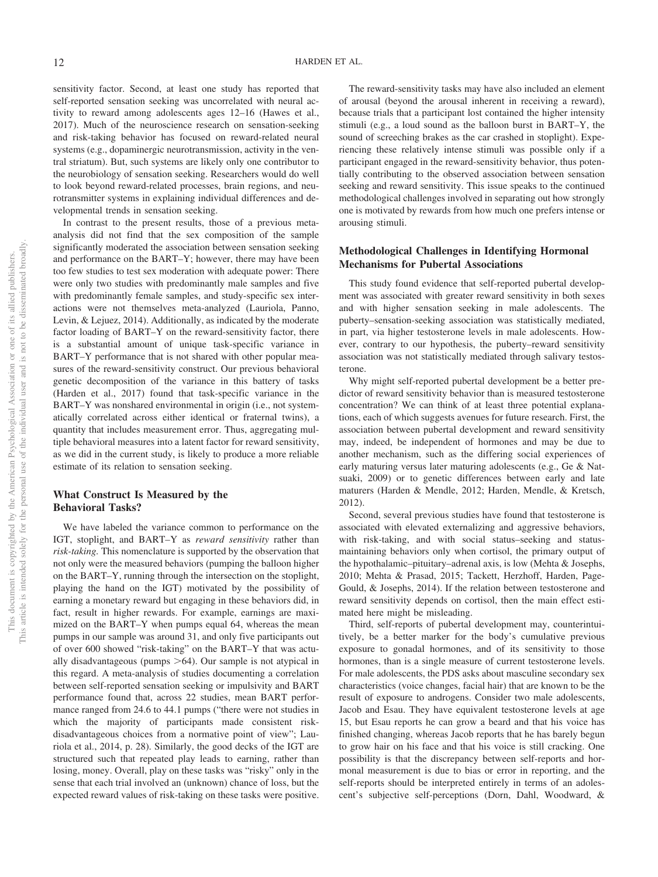sensitivity factor. Second, at least one study has reported that self-reported sensation seeking was uncorrelated with neural activity to reward among adolescents ages 12–16 (Hawes et al., 2017). Much of the neuroscience research on sensation-seeking and risk-taking behavior has focused on reward-related neural systems (e.g., dopaminergic neurotransmission, activity in the ventral striatum). But, such systems are likely only one contributor to the neurobiology of sensation seeking. Researchers would do well to look beyond reward-related processes, brain regions, and neurotransmitter systems in explaining individual differences and developmental trends in sensation seeking.

In contrast to the present results, those of a previous metaanalysis did not find that the sex composition of the sample significantly moderated the association between sensation seeking and performance on the BART–Y; however, there may have been too few studies to test sex moderation with adequate power: There were only two studies with predominantly male samples and five with predominantly female samples, and study-specific sex interactions were not themselves meta-analyzed (Lauriola, Panno, Levin, & Lejuez, 2014). Additionally, as indicated by the moderate factor loading of BART–Y on the reward-sensitivity factor, there is a substantial amount of unique task-specific variance in BART–Y performance that is not shared with other popular measures of the reward-sensitivity construct. Our previous behavioral genetic decomposition of the variance in this battery of tasks (Harden et al., 2017) found that task-specific variance in the BART–Y was nonshared environmental in origin (i.e., not systematically correlated across either identical or fraternal twins), a quantity that includes measurement error. Thus, aggregating multiple behavioral measures into a latent factor for reward sensitivity, as we did in the current study, is likely to produce a more reliable estimate of its relation to sensation seeking.

# **What Construct Is Measured by the Behavioral Tasks?**

We have labeled the variance common to performance on the IGT, stoplight, and BART–Y as *reward sensitivity* rather than *risk-taking.* This nomenclature is supported by the observation that not only were the measured behaviors (pumping the balloon higher on the BART–Y, running through the intersection on the stoplight, playing the hand on the IGT) motivated by the possibility of earning a monetary reward but engaging in these behaviors did, in fact, result in higher rewards. For example, earnings are maximized on the BART–Y when pumps equal 64, whereas the mean pumps in our sample was around 31, and only five participants out of over 600 showed "risk-taking" on the BART–Y that was actually disadvantageous (pumps  $>64$ ). Our sample is not atypical in this regard. A meta-analysis of studies documenting a correlation between self-reported sensation seeking or impulsivity and BART performance found that, across 22 studies, mean BART performance ranged from 24.6 to 44.1 pumps ("there were not studies in which the majority of participants made consistent riskdisadvantageous choices from a normative point of view"; Lauriola et al., 2014, p. 28). Similarly, the good decks of the IGT are structured such that repeated play leads to earning, rather than losing, money. Overall, play on these tasks was "risky" only in the sense that each trial involved an (unknown) chance of loss, but the expected reward values of risk-taking on these tasks were positive.

The reward-sensitivity tasks may have also included an element of arousal (beyond the arousal inherent in receiving a reward), because trials that a participant lost contained the higher intensity stimuli (e.g., a loud sound as the balloon burst in BART–Y, the sound of screeching brakes as the car crashed in stoplight). Experiencing these relatively intense stimuli was possible only if a participant engaged in the reward-sensitivity behavior, thus potentially contributing to the observed association between sensation seeking and reward sensitivity. This issue speaks to the continued methodological challenges involved in separating out how strongly one is motivated by rewards from how much one prefers intense or arousing stimuli.

# **Methodological Challenges in Identifying Hormonal Mechanisms for Pubertal Associations**

This study found evidence that self-reported pubertal development was associated with greater reward sensitivity in both sexes and with higher sensation seeking in male adolescents. The puberty–sensation-seeking association was statistically mediated, in part, via higher testosterone levels in male adolescents. However, contrary to our hypothesis, the puberty–reward sensitivity association was not statistically mediated through salivary testosterone.

Why might self-reported pubertal development be a better predictor of reward sensitivity behavior than is measured testosterone concentration? We can think of at least three potential explanations, each of which suggests avenues for future research. First, the association between pubertal development and reward sensitivity may, indeed, be independent of hormones and may be due to another mechanism, such as the differing social experiences of early maturing versus later maturing adolescents (e.g., Ge & Natsuaki, 2009) or to genetic differences between early and late maturers (Harden & Mendle, 2012; Harden, Mendle, & Kretsch, 2012).

Second, several previous studies have found that testosterone is associated with elevated externalizing and aggressive behaviors, with risk-taking, and with social status–seeking and statusmaintaining behaviors only when cortisol, the primary output of the hypothalamic–pituitary–adrenal axis, is low (Mehta & Josephs, 2010; Mehta & Prasad, 2015; Tackett, Herzhoff, Harden, Page-Gould, & Josephs, 2014). If the relation between testosterone and reward sensitivity depends on cortisol, then the main effect estimated here might be misleading.

Third, self-reports of pubertal development may, counterintuitively, be a better marker for the body's cumulative previous exposure to gonadal hormones, and of its sensitivity to those hormones, than is a single measure of current testosterone levels. For male adolescents, the PDS asks about masculine secondary sex characteristics (voice changes, facial hair) that are known to be the result of exposure to androgens. Consider two male adolescents, Jacob and Esau. They have equivalent testosterone levels at age 15, but Esau reports he can grow a beard and that his voice has finished changing, whereas Jacob reports that he has barely begun to grow hair on his face and that his voice is still cracking. One possibility is that the discrepancy between self-reports and hormonal measurement is due to bias or error in reporting, and the self-reports should be interpreted entirely in terms of an adolescent's subjective self-perceptions (Dorn, Dahl, Woodward, &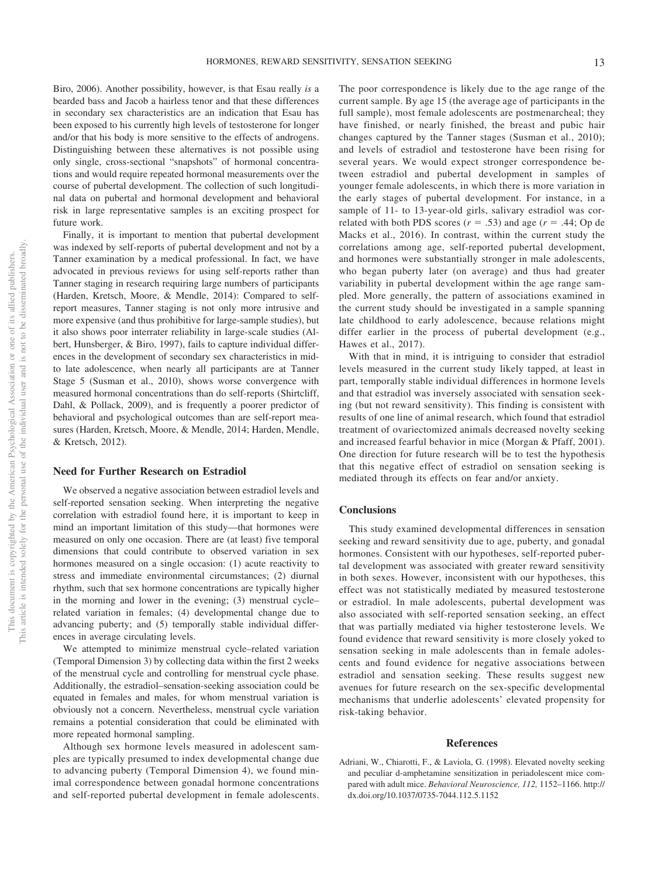Biro, 2006). Another possibility, however, is that Esau really *is* a bearded bass and Jacob a hairless tenor and that these differences in secondary sex characteristics are an indication that Esau has been exposed to his currently high levels of testosterone for longer and/or that his body is more sensitive to the effects of androgens. Distinguishing between these alternatives is not possible using only single, cross-sectional "snapshots" of hormonal concentrations and would require repeated hormonal measurements over the course of pubertal development. The collection of such longitudinal data on pubertal and hormonal development and behavioral risk in large representative samples is an exciting prospect for future work.

Finally, it is important to mention that pubertal development was indexed by self-reports of pubertal development and not by a Tanner examination by a medical professional. In fact, we have advocated in previous reviews for using self-reports rather than Tanner staging in research requiring large numbers of participants (Harden, Kretsch, Moore, & Mendle, 2014): Compared to selfreport measures, Tanner staging is not only more intrusive and more expensive (and thus prohibitive for large-sample studies), but it also shows poor interrater reliability in large-scale studies (Albert, Hunsberger, & Biro, 1997), fails to capture individual differences in the development of secondary sex characteristics in midto late adolescence, when nearly all participants are at Tanner Stage 5 (Susman et al., 2010), shows worse convergence with measured hormonal concentrations than do self-reports (Shirtcliff, Dahl, & Pollack, 2009), and is frequently a poorer predictor of behavioral and psychological outcomes than are self-report measures (Harden, Kretsch, Moore, & Mendle, 2014; Harden, Mendle, & Kretsch, 2012).

#### **Need for Further Research on Estradiol**

We observed a negative association between estradiol levels and self-reported sensation seeking. When interpreting the negative correlation with estradiol found here, it is important to keep in mind an important limitation of this study—that hormones were measured on only one occasion. There are (at least) five temporal dimensions that could contribute to observed variation in sex hormones measured on a single occasion: (1) acute reactivity to stress and immediate environmental circumstances; (2) diurnal rhythm, such that sex hormone concentrations are typically higher in the morning and lower in the evening; (3) menstrual cycle– related variation in females; (4) developmental change due to advancing puberty; and (5) temporally stable individual differences in average circulating levels.

We attempted to minimize menstrual cycle–related variation (Temporal Dimension 3) by collecting data within the first 2 weeks of the menstrual cycle and controlling for menstrual cycle phase. Additionally, the estradiol–sensation-seeking association could be equated in females and males, for whom menstrual variation is obviously not a concern. Nevertheless, menstrual cycle variation remains a potential consideration that could be eliminated with more repeated hormonal sampling.

Although sex hormone levels measured in adolescent samples are typically presumed to index developmental change due to advancing puberty (Temporal Dimension 4), we found minimal correspondence between gonadal hormone concentrations and self-reported pubertal development in female adolescents.

The poor correspondence is likely due to the age range of the current sample. By age 15 (the average age of participants in the full sample), most female adolescents are postmenarcheal; they have finished, or nearly finished, the breast and pubic hair changes captured by the Tanner stages (Susman et al., 2010); and levels of estradiol and testosterone have been rising for several years. We would expect stronger correspondence between estradiol and pubertal development in samples of younger female adolescents, in which there is more variation in the early stages of pubertal development. For instance, in a sample of 11- to 13-year-old girls, salivary estradiol was correlated with both PDS scores  $(r = .53)$  and age  $(r = .44;$  Op de Macks et al., 2016). In contrast, within the current study the correlations among age, self-reported pubertal development, and hormones were substantially stronger in male adolescents, who began puberty later (on average) and thus had greater variability in pubertal development within the age range sampled. More generally, the pattern of associations examined in the current study should be investigated in a sample spanning late childhood to early adolescence, because relations might differ earlier in the process of pubertal development (e.g., Hawes et al., 2017).

With that in mind, it is intriguing to consider that estradiol levels measured in the current study likely tapped, at least in part, temporally stable individual differences in hormone levels and that estradiol was inversely associated with sensation seeking (but not reward sensitivity). This finding is consistent with results of one line of animal research, which found that estradiol treatment of ovariectomized animals decreased novelty seeking and increased fearful behavior in mice (Morgan & Pfaff, 2001). One direction for future research will be to test the hypothesis that this negative effect of estradiol on sensation seeking is mediated through its effects on fear and/or anxiety.

#### **Conclusions**

This study examined developmental differences in sensation seeking and reward sensitivity due to age, puberty, and gonadal hormones. Consistent with our hypotheses, self-reported pubertal development was associated with greater reward sensitivity in both sexes. However, inconsistent with our hypotheses, this effect was not statistically mediated by measured testosterone or estradiol. In male adolescents, pubertal development was also associated with self-reported sensation seeking, an effect that was partially mediated via higher testosterone levels. We found evidence that reward sensitivity is more closely yoked to sensation seeking in male adolescents than in female adolescents and found evidence for negative associations between estradiol and sensation seeking. These results suggest new avenues for future research on the sex-specific developmental mechanisms that underlie adolescents' elevated propensity for risk-taking behavior.

#### **References**

Adriani, W., Chiarotti, F., & Laviola, G. (1998). Elevated novelty seeking and peculiar d-amphetamine sensitization in periadolescent mice compared with adult mice. *Behavioral Neuroscience, 112,* 1152–1166. [http://](http://dx.doi.org/10.1037/0735-7044.112.5.1152) [dx.doi.org/10.1037/0735-7044.112.5.1152](http://dx.doi.org/10.1037/0735-7044.112.5.1152)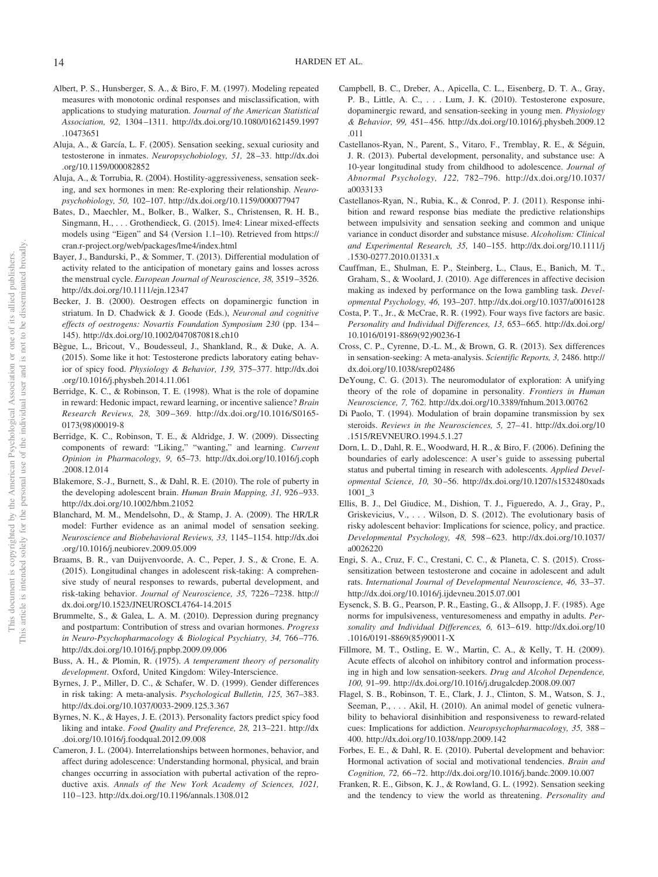- Albert, P. S., Hunsberger, S. A., & Biro, F. M. (1997). Modeling repeated measures with monotonic ordinal responses and misclassification, with applications to studying maturation. *Journal of the American Statistical Association, 92,* 1304–1311. [http://dx.doi.org/10.1080/01621459.1997](http://dx.doi.org/10.1080/01621459.1997.10473651) [.10473651](http://dx.doi.org/10.1080/01621459.1997.10473651)
- Aluja, A., & García, L. F. (2005). Sensation seeking, sexual curiosity and testosterone in inmates. *Neuropsychobiology, 51,* 28–33. [http://dx.doi](http://dx.doi.org/10.1159/000082852) [.org/10.1159/000082852](http://dx.doi.org/10.1159/000082852)
- Aluja, A., & Torrubia, R. (2004). Hostility-aggressiveness, sensation seeking, and sex hormones in men: Re-exploring their relationship. *Neuropsychobiology, 50,* 102–107.<http://dx.doi.org/10.1159/000077947>
- Bates, D., Maechler, M., Bolker, B., Walker, S., Christensen, R. H. B., Singmann, H.,... Grothendieck, G. (2015). lme4: Linear mixed-effects models using "Eigen" and S4 (Version 1.1–10). Retrieved from [https://](https://cran.r-project.org/web/packages/lme4/index.html) [cran.r-project.org/web/packages/lme4/index.html](https://cran.r-project.org/web/packages/lme4/index.html)
- Bayer, J., Bandurski, P., & Sommer, T. (2013). Differential modulation of activity related to the anticipation of monetary gains and losses across the menstrual cycle. *European Journal of Neuroscience, 38,* 3519–3526. <http://dx.doi.org/10.1111/ejn.12347>
- Becker, J. B. (2000). Oestrogen effects on dopaminergic function in striatum. In D. Chadwick & J. Goode (Eds.), *Neuronal and cognitive effects of oestrogens: Novartis Foundation Symposium 230* (pp. 134– 145).<http://dx.doi.org/10.1002/0470870818.ch10>
- Bègue, L., Bricout, V., Boudesseul, J., Shankland, R., & Duke, A. A. (2015). Some like it hot: Testosterone predicts laboratory eating behavior of spicy food. *Physiology & Behavior, 139,* 375–377. [http://dx.doi](http://dx.doi.org/10.1016/j.physbeh.2014.11.061) [.org/10.1016/j.physbeh.2014.11.061](http://dx.doi.org/10.1016/j.physbeh.2014.11.061)
- Berridge, K. C., & Robinson, T. E. (1998). What is the role of dopamine in reward: Hedonic impact, reward learning, or incentive salience? *Brain Research Reviews, 28,* 309–369. [http://dx.doi.org/10.1016/S0165-](http://dx.doi.org/10.1016/S0165-0173%2898%2900019-8) [0173\(98\)00019-8](http://dx.doi.org/10.1016/S0165-0173%2898%2900019-8)
- Berridge, K. C., Robinson, T. E., & Aldridge, J. W. (2009). Dissecting components of reward: "Liking," "wanting," and learning. *Current Opinion in Pharmacology, 9,* 65–73. [http://dx.doi.org/10.1016/j.coph](http://dx.doi.org/10.1016/j.coph.2008.12.014) [.2008.12.014](http://dx.doi.org/10.1016/j.coph.2008.12.014)
- Blakemore, S.-J., Burnett, S., & Dahl, R. E. (2010). The role of puberty in the developing adolescent brain. *Human Brain Mapping, 31,* 926–933. <http://dx.doi.org/10.1002/hbm.21052>
- Blanchard, M. M., Mendelsohn, D., & Stamp, J. A. (2009). The HR/LR model: Further evidence as an animal model of sensation seeking. *Neuroscience and Biobehavioral Reviews, 33,* 1145–1154. [http://dx.doi](http://dx.doi.org/10.1016/j.neubiorev.2009.05.009) [.org/10.1016/j.neubiorev.2009.05.009](http://dx.doi.org/10.1016/j.neubiorev.2009.05.009)
- Braams, B. R., van Duijvenvoorde, A. C., Peper, J. S., & Crone, E. A. (2015). Longitudinal changes in adolescent risk-taking: A comprehensive study of neural responses to rewards, pubertal development, and risk-taking behavior. *Journal of Neuroscience, 35,* 7226–7238. [http://](http://dx.doi.org/10.1523/JNEUROSCI.4764-14.2015) [dx.doi.org/10.1523/JNEUROSCI.4764-14.2015](http://dx.doi.org/10.1523/JNEUROSCI.4764-14.2015)
- Brummelte, S., & Galea, L. A. M. (2010). Depression during pregnancy and postpartum: Contribution of stress and ovarian hormones. *Progress in Neuro-Psychopharmacology & Biological Psychiatry, 34,* 766–776. <http://dx.doi.org/10.1016/j.pnpbp.2009.09.006>
- Buss, A. H., & Plomin, R. (1975). *A temperament theory of personality development*. Oxford, United Kingdom: Wiley-Interscience.
- <span id="page-14-0"></span>Byrnes, J. P., Miller, D. C., & Schafer, W. D. (1999). Gender differences in risk taking: A meta-analysis. *Psychological Bulletin, 125,* 367–383. <http://dx.doi.org/10.1037/0033-2909.125.3.367>
- <span id="page-14-1"></span>Byrnes, N. K., & Hayes, J. E. (2013). Personality factors predict spicy food liking and intake. *Food Quality and Preference, 28,* 213–221. [http://dx](http://dx.doi.org/10.1016/j.foodqual.2012.09.008) [.doi.org/10.1016/j.foodqual.2012.09.008](http://dx.doi.org/10.1016/j.foodqual.2012.09.008)
- Cameron, J. L. (2004). Interrelationships between hormones, behavior, and affect during adolescence: Understanding hormonal, physical, and brain changes occurring in association with pubertal activation of the reproductive axis. *Annals of the New York Academy of Sciences, 1021,* 110–123.<http://dx.doi.org/10.1196/annals.1308.012>
- Campbell, B. C., Dreber, A., Apicella, C. L., Eisenberg, D. T. A., Gray, P. B., Little, A. C.,... Lum, J. K. (2010). Testosterone exposure, dopaminergic reward, and sensation-seeking in young men. *Physiology & Behavior, 99,* 451–456. [http://dx.doi.org/10.1016/j.physbeh.2009.12](http://dx.doi.org/10.1016/j.physbeh.2009.12.011) [.011](http://dx.doi.org/10.1016/j.physbeh.2009.12.011)
- Castellanos-Ryan, N., Parent, S., Vitaro, F., Tremblay, R. E., & Séguin, J. R. (2013). Pubertal development, personality, and substance use: A 10-year longitudinal study from childhood to adolescence. *Journal of Abnormal Psychology, 122,* 782–796. [http://dx.doi.org/10.1037/](http://dx.doi.org/10.1037/a0033133) [a0033133](http://dx.doi.org/10.1037/a0033133)
- Castellanos-Ryan, N., Rubia, K., & Conrod, P. J. (2011). Response inhibition and reward response bias mediate the predictive relationships between impulsivity and sensation seeking and common and unique variance in conduct disorder and substance misuse. *Alcoholism: Clinical and Experimental Research, 35,* 140–155. [http://dx.doi.org/10.1111/j](http://dx.doi.org/10.1111/j.1530-0277.2010.01331.x) [.1530-0277.2010.01331.x](http://dx.doi.org/10.1111/j.1530-0277.2010.01331.x)
- Cauffman, E., Shulman, E. P., Steinberg, L., Claus, E., Banich, M. T., Graham, S., & Woolard, J. (2010). Age differences in affective decision making as indexed by performance on the Iowa gambling task. *Developmental Psychology, 46,* 193–207.<http://dx.doi.org/10.1037/a0016128>
- Costa, P. T., Jr., & McCrae, R. R. (1992). Four ways five factors are basic. *Personality and Individual Differences, 13,* 653–665. [http://dx.doi.org/](http://dx.doi.org/10.1016/0191-8869%2892%2990236-I) [10.1016/0191-8869\(92\)90236-I](http://dx.doi.org/10.1016/0191-8869%2892%2990236-I)
- Cross, C. P., Cyrenne, D.-L. M., & Brown, G. R. (2013). Sex differences in sensation-seeking: A meta-analysis. *Scientific Reports, 3,* 2486. [http://](http://dx.doi.org/10.1038/srep02486) [dx.doi.org/10.1038/srep02486](http://dx.doi.org/10.1038/srep02486)
- DeYoung, C. G. (2013). The neuromodulator of exploration: A unifying theory of the role of dopamine in personality. *Frontiers in Human Neuroscience, 7,* 762.<http://dx.doi.org/10.3389/fnhum.2013.00762>
- Di Paolo, T. (1994). Modulation of brain dopamine transmission by sex steroids. *Reviews in the Neurosciences, 5,* 27–41. [http://dx.doi.org/10](http://dx.doi.org/10.1515/REVNEURO.1994.5.1.27) [.1515/REVNEURO.1994.5.1.27](http://dx.doi.org/10.1515/REVNEURO.1994.5.1.27)
- Dorn, L. D., Dahl, R. E., Woodward, H. R., & Biro, F. (2006). Defining the boundaries of early adolescence: A user's guide to assessing pubertal status and pubertal timing in research with adolescents. *Applied Developmental Science, 10,* 30–56. [http://dx.doi.org/10.1207/s1532480xads](http://dx.doi.org/10.1207/s1532480xads1001_3) [1001\\_3](http://dx.doi.org/10.1207/s1532480xads1001_3)
- Ellis, B. J., Del Giudice, M., Dishion, T. J., Figueredo, A. J., Gray, P., Griskevicius, V.,... Wilson, D. S. (2012). The evolutionary basis of risky adolescent behavior: Implications for science, policy, and practice. *Developmental Psychology, 48,* 598–623. [http://dx.doi.org/10.1037/](http://dx.doi.org/10.1037/a0026220) [a0026220](http://dx.doi.org/10.1037/a0026220)
- Engi, S. A., Cruz, F. C., Crestani, C. C., & Planeta, C. S. (2015). Crosssensitization between testosterone and cocaine in adolescent and adult rats. *International Journal of Developmental Neuroscience, 46,* 33–37. <http://dx.doi.org/10.1016/j.ijdevneu.2015.07.001>
- Eysenck, S. B. G., Pearson, P. R., Easting, G., & Allsopp, J. F. (1985). Age norms for impulsiveness, venturesomeness and empathy in adults. *Personality and Individual Differences, 6,* 613–619. [http://dx.doi.org/10](http://dx.doi.org/10.1016/0191-8869%2885%2990011-X) [.1016/0191-8869\(85\)90011-X](http://dx.doi.org/10.1016/0191-8869%2885%2990011-X)
- Fillmore, M. T., Ostling, E. W., Martin, C. A., & Kelly, T. H. (2009). Acute effects of alcohol on inhibitory control and information processing in high and low sensation-seekers. *Drug and Alcohol Dependence, 100,* 91–99.<http://dx.doi.org/10.1016/j.drugalcdep.2008.09.007>
- Flagel, S. B., Robinson, T. E., Clark, J. J., Clinton, S. M., Watson, S. J., Seeman, P., . . . Akil, H. (2010). An animal model of genetic vulnerability to behavioral disinhibition and responsiveness to reward-related cues: Implications for addiction. *Neuropsychopharmacology, 35,* 388– 400.<http://dx.doi.org/10.1038/npp.2009.142>
- Forbes, E. E., & Dahl, R. E. (2010). Pubertal development and behavior: Hormonal activation of social and motivational tendencies. *Brain and Cognition, 72,* 66–72.<http://dx.doi.org/10.1016/j.bandc.2009.10.007>
- Franken, R. E., Gibson, K. J., & Rowland, G. L. (1992). Sensation seeking and the tendency to view the world as threatening. *Personality and*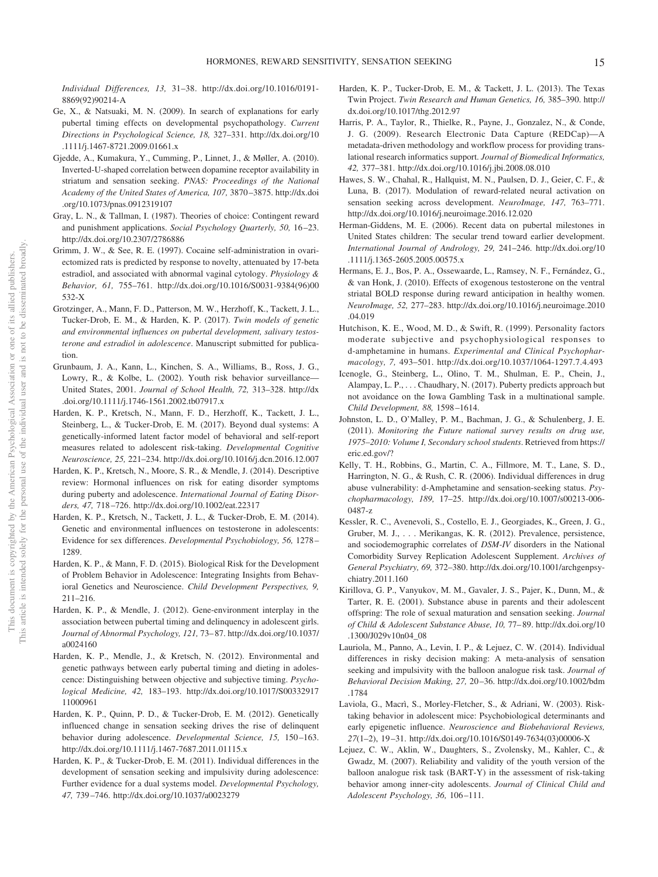*Individual Differences, 13,* 31–38. [http://dx.doi.org/10.1016/0191-](http://dx.doi.org/10.1016/0191-8869%2892%2990214-A) [8869\(92\)90214-A](http://dx.doi.org/10.1016/0191-8869%2892%2990214-A)

- Ge, X., & Natsuaki, M. N. (2009). In search of explanations for early pubertal timing effects on developmental psychopathology. *Current Directions in Psychological Science, 18,* 327–331. [http://dx.doi.org/10](http://dx.doi.org/10.1111/j.1467-8721.2009.01661.x) [.1111/j.1467-8721.2009.01661.x](http://dx.doi.org/10.1111/j.1467-8721.2009.01661.x)
- Gjedde, A., Kumakura, Y., Cumming, P., Linnet, J., & Møller, A. (2010). Inverted-U-shaped correlation between dopamine receptor availability in striatum and sensation seeking. *PNAS: Proceedings of the National Academy of the United States of America, 107,* 3870–3875. [http://dx.doi](http://dx.doi.org/10.1073/pnas.0912319107) [.org/10.1073/pnas.0912319107](http://dx.doi.org/10.1073/pnas.0912319107)
- Gray, L. N., & Tallman, I. (1987). Theories of choice: Contingent reward and punishment applications. *Social Psychology Quarterly, 50,* 16–23. <http://dx.doi.org/10.2307/2786886>
- Grimm, J. W., & See, R. E. (1997). Cocaine self-administration in ovariectomized rats is predicted by response to novelty, attenuated by 17-beta estradiol, and associated with abnormal vaginal cytology. *Physiology & Behavior, 61,* 755–761. [http://dx.doi.org/10.1016/S0031-9384\(96\)00](http://dx.doi.org/10.1016/S0031-9384%2896%2900532-X) [532-X](http://dx.doi.org/10.1016/S0031-9384%2896%2900532-X)
- Grotzinger, A., Mann, F. D., Patterson, M. W., Herzhoff, K., Tackett, J. L., Tucker-Drob, E. M., & Harden, K. P. (2017). *Twin models of genetic and environmental influences on pubertal development, salivary testosterone and estradiol in adolescence*. Manuscript submitted for publication.
- Grunbaum, J. A., Kann, L., Kinchen, S. A., Williams, B., Ross, J. G., Lowry, R., & Kolbe, L. (2002). Youth risk behavior surveillance— United States, 2001. *Journal of School Health, 72,* 313–328. [http://dx](http://dx.doi.org/10.1111/j.1746-1561.2002.tb07917.x) [.doi.org/10.1111/j.1746-1561.2002.tb07917.x](http://dx.doi.org/10.1111/j.1746-1561.2002.tb07917.x)
- Harden, K. P., Kretsch, N., Mann, F. D., Herzhoff, K., Tackett, J. L., Steinberg, L., & Tucker-Drob, E. M. (2017). Beyond dual systems: A genetically-informed latent factor model of behavioral and self-report measures related to adolescent risk-taking. *Developmental Cognitive Neuroscience, 25,* 221–234.<http://dx.doi.org/10.1016/j.dcn.2016.12.007>
- Harden, K. P., Kretsch, N., Moore, S. R., & Mendle, J. (2014). Descriptive review: Hormonal influences on risk for eating disorder symptoms during puberty and adolescence. *International Journal of Eating Disorders, 47,* 718–726.<http://dx.doi.org/10.1002/eat.22317>
- Harden, K. P., Kretsch, N., Tackett, J. L., & Tucker-Drob, E. M. (2014). Genetic and environmental influences on testosterone in adolescents: Evidence for sex differences. *Developmental Psychobiology, 56,* 1278– 1289.
- Harden, K. P., & Mann, F. D. (2015). Biological Risk for the Development of Problem Behavior in Adolescence: Integrating Insights from Behavioral Genetics and Neuroscience. *Child Development Perspectives, 9,* 211–216.
- Harden, K. P., & Mendle, J. (2012). Gene-environment interplay in the association between pubertal timing and delinquency in adolescent girls. *Journal of Abnormal Psychology, 121,* 73–87. [http://dx.doi.org/10.1037/](http://dx.doi.org/10.1037/a0024160) [a0024160](http://dx.doi.org/10.1037/a0024160)
- Harden, K. P., Mendle, J., & Kretsch, N. (2012). Environmental and genetic pathways between early pubertal timing and dieting in adolescence: Distinguishing between objective and subjective timing. *Psychological Medicine, 42,* 183–193. [http://dx.doi.org/10.1017/S00332917](http://dx.doi.org/10.1017/S0033291711000961) [11000961](http://dx.doi.org/10.1017/S0033291711000961)
- Harden, K. P., Quinn, P. D., & Tucker-Drob, E. M. (2012). Genetically influenced change in sensation seeking drives the rise of delinquent behavior during adolescence. *Developmental Science, 15,* 150–163. <http://dx.doi.org/10.1111/j.1467-7687.2011.01115.x>
- Harden, K. P., & Tucker-Drob, E. M. (2011). Individual differences in the development of sensation seeking and impulsivity during adolescence: Further evidence for a dual systems model. *Developmental Psychology, 47,* 739–746.<http://dx.doi.org/10.1037/a0023279>
- Harden, K. P., Tucker-Drob, E. M., & Tackett, J. L. (2013). The Texas Twin Project. *Twin Research and Human Genetics, 16,* 385–390. [http://](http://dx.doi.org/10.1017/thg.2012.97) [dx.doi.org/10.1017/thg.2012.97](http://dx.doi.org/10.1017/thg.2012.97)
- Harris, P. A., Taylor, R., Thielke, R., Payne, J., Gonzalez, N., & Conde, J. G. (2009). Research Electronic Data Capture (REDCap)—A metadata-driven methodology and workflow process for providing translational research informatics support. *Journal of Biomedical Informatics, 42,* 377–381.<http://dx.doi.org/10.1016/j.jbi.2008.08.010>
- Hawes, S. W., Chahal, R., Hallquist, M. N., Paulsen, D. J., Geier, C. F., & Luna, B. (2017). Modulation of reward-related neural activation on sensation seeking across development. *NeuroImage, 147,* 763–771. <http://dx.doi.org/10.1016/j.neuroimage.2016.12.020>
- Herman-Giddens, M. E. (2006). Recent data on pubertal milestones in United States children: The secular trend toward earlier development. *International Journal of Andrology, 29,* 241–246. [http://dx.doi.org/10](http://dx.doi.org/10.1111/j.1365-2605.2005.00575.x) [.1111/j.1365-2605.2005.00575.x](http://dx.doi.org/10.1111/j.1365-2605.2005.00575.x)
- Hermans, E. J., Bos, P. A., Ossewaarde, L., Ramsey, N. F., Fernández, G., & van Honk, J. (2010). Effects of exogenous testosterone on the ventral striatal BOLD response during reward anticipation in healthy women. *NeuroImage, 52,* 277–283. [http://dx.doi.org/10.1016/j.neuroimage.2010](http://dx.doi.org/10.1016/j.neuroimage.2010.04.019) [.04.019](http://dx.doi.org/10.1016/j.neuroimage.2010.04.019)
- Hutchison, K. E., Wood, M. D., & Swift, R. (1999). Personality factors moderate subjective and psychophysiological responses to d-amphetamine in humans. *Experimental and Clinical Psychopharmacology, 7,* 493–501.<http://dx.doi.org/10.1037/1064-1297.7.4.493>
- Icenogle, G., Steinberg, L., Olino, T. M., Shulman, E. P., Chein, J., Alampay, L. P.,... Chaudhary, N. (2017). Puberty predicts approach but not avoidance on the Iowa Gambling Task in a multinational sample. *Child Development, 88,* 1598–1614.
- Johnston, L. D., O'Malley, P. M., Bachman, J. G., & Schulenberg, J. E. (2011). *Monitoring the Future national survey results on drug use, 1975–2010: Volume I, Secondary school students*. Retrieved from [https://](https://eric.ed.gov/?) [eric.ed.gov/?](https://eric.ed.gov/?)
- Kelly, T. H., Robbins, G., Martin, C. A., Fillmore, M. T., Lane, S. D., Harrington, N. G., & Rush, C. R. (2006). Individual differences in drug abuse vulnerability: d-Amphetamine and sensation-seeking status. *Psychopharmacology, 189,* 17–25. [http://dx.doi.org/10.1007/s00213-006-](http://dx.doi.org/10.1007/s00213-006-0487-z) [0487-z](http://dx.doi.org/10.1007/s00213-006-0487-z)
- Kessler, R. C., Avenevoli, S., Costello, E. J., Georgiades, K., Green, J. G., Gruber, M. J.,... Merikangas, K. R. (2012). Prevalence, persistence, and sociodemographic correlates of *DSM-IV* disorders in the National Comorbidity Survey Replication Adolescent Supplement. *Archives of General Psychiatry, 69,* 372–380. [http://dx.doi.org/10.1001/archgenpsy](http://dx.doi.org/10.1001/archgenpsychiatry.2011.160)[chiatry.2011.160](http://dx.doi.org/10.1001/archgenpsychiatry.2011.160)
- Kirillova, G. P., Vanyukov, M. M., Gavaler, J. S., Pajer, K., Dunn, M., & Tarter, R. E. (2001). Substance abuse in parents and their adolescent offspring: The role of sexual maturation and sensation seeking. *Journal of Child & Adolescent Substance Abuse, 10,* 77–89. [http://dx.doi.org/10](http://dx.doi.org/10.1300/J029v10n04_08) [.1300/J029v10n04\\_08](http://dx.doi.org/10.1300/J029v10n04_08)
- Lauriola, M., Panno, A., Levin, I. P., & Lejuez, C. W. (2014). Individual differences in risky decision making: A meta-analysis of sensation seeking and impulsivity with the balloon analogue risk task. *Journal of Behavioral Decision Making, 27,* 20–36. [http://dx.doi.org/10.1002/bdm](http://dx.doi.org/10.1002/bdm.1784) [.1784](http://dx.doi.org/10.1002/bdm.1784)
- Laviola, G., Macrì, S., Morley-Fletcher, S., & Adriani, W. (2003). Risktaking behavior in adolescent mice: Psychobiological determinants and early epigenetic influence. *Neuroscience and Biobehavioral Reviews, 27*(1–2), 19–31. [http://dx.doi.org/10.1016/S0149-7634\(03\)00006-X](http://dx.doi.org/10.1016/S0149-7634%2803%2900006-X)
- Lejuez, C. W., Aklin, W., Daughters, S., Zvolensky, M., Kahler, C., & Gwadz, M. (2007). Reliability and validity of the youth version of the balloon analogue risk task (BART-Y) in the assessment of risk-taking behavior among inner-city adolescents. *Journal of Clinical Child and Adolescent Psychology, 36,* 106–111.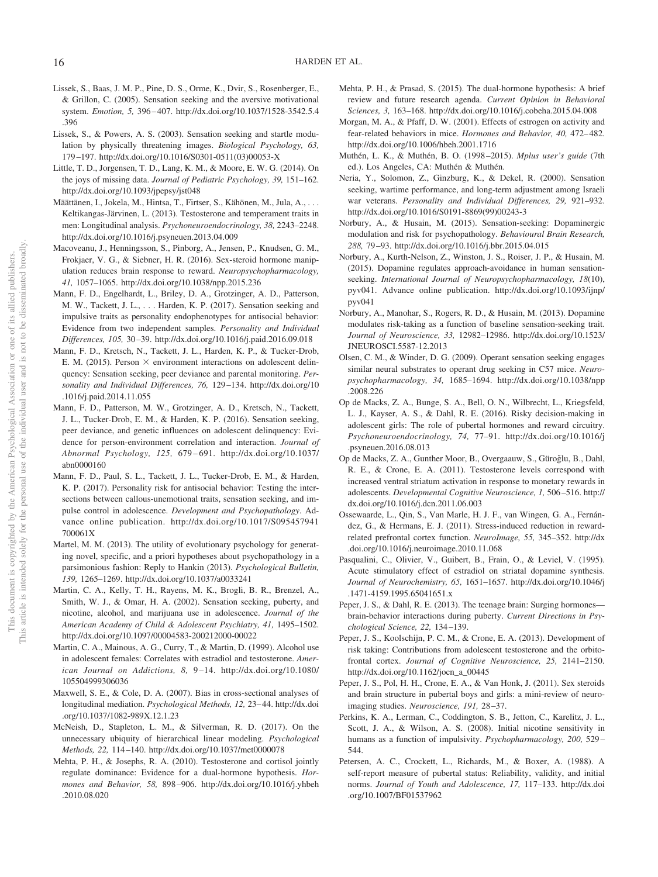- Lissek, S., Baas, J. M. P., Pine, D. S., Orme, K., Dvir, S., Rosenberger, E., & Grillon, C. (2005). Sensation seeking and the aversive motivational system. *Emotion, 5,* 396–407. [http://dx.doi.org/10.1037/1528-3542.5.4](http://dx.doi.org/10.1037/1528-3542.5.4.396) [.396](http://dx.doi.org/10.1037/1528-3542.5.4.396)
- Lissek, S., & Powers, A. S. (2003). Sensation seeking and startle modulation by physically threatening images. *Biological Psychology, 63,* 179–197. [http://dx.doi.org/10.1016/S0301-0511\(03\)00053-X](http://dx.doi.org/10.1016/S0301-0511%2803%2900053-X)
- Little, T. D., Jorgensen, T. D., Lang, K. M., & Moore, E. W. G. (2014). On the joys of missing data. *Journal of Pediatric Psychology, 39,* 151–162. <http://dx.doi.org/10.1093/jpepsy/jst048>
- Määttänen, I., Jokela, M., Hintsa, T., Firtser, S., Kähönen, M., Jula, A.,... Keltikangas-Järvinen, L. (2013). Testosterone and temperament traits in men: Longitudinal analysis. *Psychoneuroendocrinology, 38,* 2243–2248. <http://dx.doi.org/10.1016/j.psyneuen.2013.04.009>
- Macoveanu, J., Henningsson, S., Pinborg, A., Jensen, P., Knudsen, G. M., Frokjaer, V. G., & Siebner, H. R. (2016). Sex-steroid hormone manipulation reduces brain response to reward. *Neuropsychopharmacology, 41,* 1057–1065.<http://dx.doi.org/10.1038/npp.2015.236>
- Mann, F. D., Engelhardt, L., Briley, D. A., Grotzinger, A. D., Patterson, M. W., Tackett, J. L.,... Harden, K. P. (2017). Sensation seeking and impulsive traits as personality endophenotypes for antisocial behavior: Evidence from two independent samples. *Personality and Individual Differences, 105,* 30–39.<http://dx.doi.org/10.1016/j.paid.2016.09.018>
- Mann, F. D., Kretsch, N., Tackett, J. L., Harden, K. P., & Tucker-Drob, E. M. (2015). Person  $\times$  environment interactions on adolescent delinquency: Sensation seeking, peer deviance and parental monitoring. *Personality and Individual Differences, 76,* 129–134. [http://dx.doi.org/10](http://dx.doi.org/10.1016/j.paid.2014.11.055) [.1016/j.paid.2014.11.055](http://dx.doi.org/10.1016/j.paid.2014.11.055)
- Mann, F. D., Patterson, M. W., Grotzinger, A. D., Kretsch, N., Tackett, J. L., Tucker-Drob, E. M., & Harden, K. P. (2016). Sensation seeking, peer deviance, and genetic influences on adolescent delinquency: Evidence for person-environment correlation and interaction. *Journal of Abnormal Psychology, 125,* 679–691. [http://dx.doi.org/10.1037/](http://dx.doi.org/10.1037/abn0000160) [abn0000160](http://dx.doi.org/10.1037/abn0000160)
- Mann, F. D., Paul, S. L., Tackett, J. L., Tucker-Drob, E. M., & Harden, K. P. (2017). Personality risk for antisocial behavior: Testing the intersections between callous-unemotional traits, sensation seeking, and impulse control in adolescence. *Development and Psychopathology*. Advance online publication. [http://dx.doi.org/10.1017/S095457941](http://dx.doi.org/10.1017/S095457941700061X) [700061X](http://dx.doi.org/10.1017/S095457941700061X)
- Martel, M. M. (2013). The utility of evolutionary psychology for generating novel, specific, and a priori hypotheses about psychopathology in a parsimonious fashion: Reply to Hankin (2013). *Psychological Bulletin, 139,* 1265–1269.<http://dx.doi.org/10.1037/a0033241>
- Martin, C. A., Kelly, T. H., Rayens, M. K., Brogli, B. R., Brenzel, A., Smith, W. J., & Omar, H. A. (2002). Sensation seeking, puberty, and nicotine, alcohol, and marijuana use in adolescence. *Journal of the American Academy of Child & Adolescent Psychiatry, 41,* 1495–1502. <http://dx.doi.org/10.1097/00004583-200212000-00022>
- Martin, C. A., Mainous, A. G., Curry, T., & Martin, D. (1999). Alcohol use in adolescent females: Correlates with estradiol and testosterone. *American Journal on Addictions, 8,* 9–14. [http://dx.doi.org/10.1080/](http://dx.doi.org/10.1080/105504999306036) [105504999306036](http://dx.doi.org/10.1080/105504999306036)
- Maxwell, S. E., & Cole, D. A. (2007). Bias in cross-sectional analyses of longitudinal mediation. *Psychological Methods, 12,* 23–44. [http://dx.doi](http://dx.doi.org/10.1037/1082-989X.12.1.23) [.org/10.1037/1082-989X.12.1.23](http://dx.doi.org/10.1037/1082-989X.12.1.23)
- McNeish, D., Stapleton, L. M., & Silverman, R. D. (2017). On the unnecessary ubiquity of hierarchical linear modeling. *Psychological Methods, 22,* 114–140.<http://dx.doi.org/10.1037/met0000078>
- Mehta, P. H., & Josephs, R. A. (2010). Testosterone and cortisol jointly regulate dominance: Evidence for a dual-hormone hypothesis. *Hormones and Behavior, 58,* 898–906. [http://dx.doi.org/10.1016/j.yhbeh](http://dx.doi.org/10.1016/j.yhbeh.2010.08.020) [.2010.08.020](http://dx.doi.org/10.1016/j.yhbeh.2010.08.020)
- Mehta, P. H., & Prasad, S. (2015). The dual-hormone hypothesis: A brief review and future research agenda. *Current Opinion in Behavioral Sciences, 3,* 163–168.<http://dx.doi.org/10.1016/j.cobeha.2015.04.008>
- Morgan, M. A., & Pfaff, D. W. (2001). Effects of estrogen on activity and fear-related behaviors in mice. *Hormones and Behavior, 40,* 472–482. <http://dx.doi.org/10.1006/hbeh.2001.1716>
- Muthén, L. K., & Muthén, B. O. (1998–2015). *Mplus user's guide* (7th ed.). Los Angeles, CA: Muthén & Muthén.
- Neria, Y., Solomon, Z., Ginzburg, K., & Dekel, R. (2000). Sensation seeking, wartime performance, and long-term adjustment among Israeli war veterans. *Personality and Individual Differences, 29,* 921–932. [http://dx.doi.org/10.1016/S0191-8869\(99\)00243-3](http://dx.doi.org/10.1016/S0191-8869%2899%2900243-3)
- Norbury, A., & Husain, M. (2015). Sensation-seeking: Dopaminergic modulation and risk for psychopathology. *Behavioural Brain Research, 288,* 79–93.<http://dx.doi.org/10.1016/j.bbr.2015.04.015>
- Norbury, A., Kurth-Nelson, Z., Winston, J. S., Roiser, J. P., & Husain, M. (2015). Dopamine regulates approach-avoidance in human sensationseeking. *International Journal of Neuropsychopharmacology, 18*(10), pyv041. Advance online publication. [http://dx.doi.org/10.1093/ijnp/](http://dx.doi.org/10.1093/ijnp/pyv041) [pyv041](http://dx.doi.org/10.1093/ijnp/pyv041)
- <span id="page-16-0"></span>Norbury, A., Manohar, S., Rogers, R. D., & Husain, M. (2013). Dopamine modulates risk-taking as a function of baseline sensation-seeking trait. *Journal of Neuroscience, 33,* 12982–12986. [http://dx.doi.org/10.1523/](http://dx.doi.org/10.1523/JNEUROSCI.5587-12.2013) [JNEUROSCI.5587-12.2013](http://dx.doi.org/10.1523/JNEUROSCI.5587-12.2013)
- <span id="page-16-1"></span>Olsen, C. M., & Winder, D. G. (2009). Operant sensation seeking engages similar neural substrates to operant drug seeking in C57 mice. *Neuropsychopharmacology, 34,* 1685–1694. [http://dx.doi.org/10.1038/npp](http://dx.doi.org/10.1038/npp.2008.226) [.2008.226](http://dx.doi.org/10.1038/npp.2008.226)
- Op de Macks, Z. A., Bunge, S. A., Bell, O. N., Wilbrecht, L., Kriegsfeld, L. J., Kayser, A. S., & Dahl, R. E. (2016). Risky decision-making in adolescent girls: The role of pubertal hormones and reward circuitry. *Psychoneuroendocrinology, 74,* 77–91. [http://dx.doi.org/10.1016/j](http://dx.doi.org/10.1016/j.psyneuen.2016.08.013) [.psyneuen.2016.08.013](http://dx.doi.org/10.1016/j.psyneuen.2016.08.013)
- Op de Macks, Z. A., Gunther Moor, B., Overgaauw, S., Güroğlu, B., Dahl, R. E., & Crone, E. A. (2011). Testosterone levels correspond with increased ventral striatum activation in response to monetary rewards in adolescents. *Developmental Cognitive Neuroscience, 1,* 506–516. [http://](http://dx.doi.org/10.1016/j.dcn.2011.06.003) [dx.doi.org/10.1016/j.dcn.2011.06.003](http://dx.doi.org/10.1016/j.dcn.2011.06.003)
- <span id="page-16-3"></span>Ossewaarde, L., Qin, S., Van Marle, H. J. F., van Wingen, G. A., Fernández, G., & Hermans, E. J. (2011). Stress-induced reduction in rewardrelated prefrontal cortex function. *NeuroImage, 55,* 345–352. [http://dx](http://dx.doi.org/10.1016/j.neuroimage.2010.11.068) [.doi.org/10.1016/j.neuroimage.2010.11.068](http://dx.doi.org/10.1016/j.neuroimage.2010.11.068)
- <span id="page-16-2"></span>Pasqualini, C., Olivier, V., Guibert, B., Frain, O., & Leviel, V. (1995). Acute stimulatory effect of estradiol on striatal dopamine synthesis. *Journal of Neurochemistry, 65,* 1651–1657. [http://dx.doi.org/10.1046/j](http://dx.doi.org/10.1046/j.1471-4159.1995.65041651.x) [.1471-4159.1995.65041651.x](http://dx.doi.org/10.1046/j.1471-4159.1995.65041651.x)
- Peper, J. S., & Dahl, R. E. (2013). The teenage brain: Surging hormones brain-behavior interactions during puberty. *Current Directions in Psychological Science, 22,* 134–139.
- Peper, J. S., Koolschijn, P. C. M., & Crone, E. A. (2013). Development of risk taking: Contributions from adolescent testosterone and the orbitofrontal cortex. *Journal of Cognitive Neuroscience, 25,* 2141–2150. [http://dx.doi.org/10.1162/jocn\\_a\\_00445](http://dx.doi.org/10.1162/jocn_a_00445)
- Peper, J. S., Pol, H. H., Crone, E. A., & Van Honk, J. (2011). Sex steroids and brain structure in pubertal boys and girls: a mini-review of neuroimaging studies. *Neuroscience, 191,* 28–37.
- Perkins, K. A., Lerman, C., Coddington, S. B., Jetton, C., Karelitz, J. L., Scott, J. A., & Wilson, A. S. (2008). Initial nicotine sensitivity in humans as a function of impulsivity. *Psychopharmacology, 200,* 529– 544.
- Petersen, A. C., Crockett, L., Richards, M., & Boxer, A. (1988). A self-report measure of pubertal status: Reliability, validity, and initial norms. *Journal of Youth and Adolescence, 17,* 117–133. [http://dx.doi](http://dx.doi.org/10.1007/BF01537962) [.org/10.1007/BF01537962](http://dx.doi.org/10.1007/BF01537962)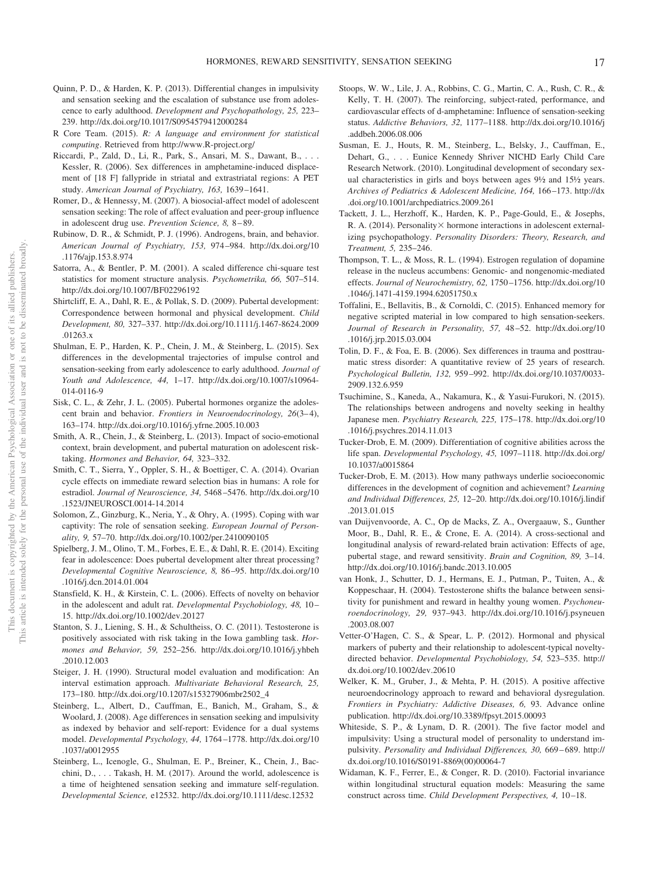- Quinn, P. D., & Harden, K. P. (2013). Differential changes in impulsivity and sensation seeking and the escalation of substance use from adolescence to early adulthood. *Development and Psychopathology, 25,* 223– 239.<http://dx.doi.org/10.1017/S0954579412000284>
- R Core Team. (2015). *R: A language and environment for statistical computing*. Retrieved from<http://www.R-project.org/>
- Riccardi, P., Zald, D., Li, R., Park, S., Ansari, M. S., Dawant, B.,... Kessler, R. (2006). Sex differences in amphetamine-induced displacement of [18 F] fallypride in striatal and extrastriatal regions: A PET study. *American Journal of Psychiatry, 163,* 1639–1641.
- Romer, D., & Hennessy, M. (2007). A biosocial-affect model of adolescent sensation seeking: The role of affect evaluation and peer-group influence in adolescent drug use. *Prevention Science, 8,* 8–89.
- Rubinow, D. R., & Schmidt, P. J. (1996). Androgens, brain, and behavior. *American Journal of Psychiatry, 153,* 974–984. [http://dx.doi.org/10](http://dx.doi.org/10.1176/ajp.153.8.974) [.1176/ajp.153.8.974](http://dx.doi.org/10.1176/ajp.153.8.974)
- Satorra, A., & Bentler, P. M. (2001). A scaled difference chi-square test statistics for moment structure analysis. *Psychometrika, 66,* 507–514. <http://dx.doi.org/10.1007/BF02296192>
- Shirtcliff, E. A., Dahl, R. E., & Pollak, S. D. (2009). Pubertal development: Correspondence between hormonal and physical development. *Child Development, 80,* 327–337. [http://dx.doi.org/10.1111/j.1467-8624.2009](http://dx.doi.org/10.1111/j.1467-8624.2009.01263.x) [.01263.x](http://dx.doi.org/10.1111/j.1467-8624.2009.01263.x)
- Shulman, E. P., Harden, K. P., Chein, J. M., & Steinberg, L. (2015). Sex differences in the developmental trajectories of impulse control and sensation-seeking from early adolescence to early adulthood. *Journal of Youth and Adolescence, 44,* 1–17. [http://dx.doi.org/10.1007/s10964-](http://dx.doi.org/10.1007/s10964-014-0116-9) [014-0116-9](http://dx.doi.org/10.1007/s10964-014-0116-9)
- Sisk, C. L., & Zehr, J. L. (2005). Pubertal hormones organize the adolescent brain and behavior. *Frontiers in Neuroendocrinology, 26*(3–4), 163–174.<http://dx.doi.org/10.1016/j.yfrne.2005.10.003>
- Smith, A. R., Chein, J., & Steinberg, L. (2013). Impact of socio-emotional context, brain development, and pubertal maturation on adolescent risktaking. *Hormones and Behavior, 64,* 323–332.
- Smith, C. T., Sierra, Y., Oppler, S. H., & Boettiger, C. A. (2014). Ovarian cycle effects on immediate reward selection bias in humans: A role for estradiol. *Journal of Neuroscience, 34,* 5468–5476. [http://dx.doi.org/10](http://dx.doi.org/10.1523/JNEUROSCI.0014-14.2014) [.1523/JNEUROSCI.0014-14.2014](http://dx.doi.org/10.1523/JNEUROSCI.0014-14.2014)
- Solomon, Z., Ginzburg, K., Neria, Y., & Ohry, A. (1995). Coping with war captivity: The role of sensation seeking. *European Journal of Personality, 9,* 57–70.<http://dx.doi.org/10.1002/per.2410090105>
- Spielberg, J. M., Olino, T. M., Forbes, E. E., & Dahl, R. E. (2014). Exciting fear in adolescence: Does pubertal development alter threat processing? *Developmental Cognitive Neuroscience, 8,* 86–95. [http://dx.doi.org/10](http://dx.doi.org/10.1016/j.dcn.2014.01.004) [.1016/j.dcn.2014.01.004](http://dx.doi.org/10.1016/j.dcn.2014.01.004)
- Stansfield, K. H., & Kirstein, C. L. (2006). Effects of novelty on behavior in the adolescent and adult rat. *Developmental Psychobiology, 48,* 10– 15.<http://dx.doi.org/10.1002/dev.20127>
- Stanton, S. J., Liening, S. H., & Schultheiss, O. C. (2011). Testosterone is positively associated with risk taking in the Iowa gambling task. *Hormones and Behavior, 59,* 252–256. [http://dx.doi.org/10.1016/j.yhbeh](http://dx.doi.org/10.1016/j.yhbeh.2010.12.003) [.2010.12.003](http://dx.doi.org/10.1016/j.yhbeh.2010.12.003)
- Steiger, J. H. (1990). Structural model evaluation and modification: An interval estimation approach. *Multivariate Behavioral Research, 25,* 173–180. [http://dx.doi.org/10.1207/s15327906mbr2502\\_4](http://dx.doi.org/10.1207/s15327906mbr2502_4)
- Steinberg, L., Albert, D., Cauffman, E., Banich, M., Graham, S., & Woolard, J. (2008). Age differences in sensation seeking and impulsivity as indexed by behavior and self-report: Evidence for a dual systems model. *Developmental Psychology, 44,* 1764–1778. [http://dx.doi.org/10](http://dx.doi.org/10.1037/a0012955) [.1037/a0012955](http://dx.doi.org/10.1037/a0012955)
- Steinberg, L., Icenogle, G., Shulman, E. P., Breiner, K., Chein, J., Bacchini, D.,... Takash, H. M. (2017). Around the world, adolescence is a time of heightened sensation seeking and immature self-regulation. *Developmental Science,* e12532.<http://dx.doi.org/10.1111/desc.12532>
- Stoops, W. W., Lile, J. A., Robbins, C. G., Martin, C. A., Rush, C. R., & Kelly, T. H. (2007). The reinforcing, subject-rated, performance, and cardiovascular effects of d-amphetamine: Influence of sensation-seeking status. *Addictive Behaviors, 32,* 1177–1188. [http://dx.doi.org/10.1016/j](http://dx.doi.org/10.1016/j.addbeh.2006.08.006) [.addbeh.2006.08.006](http://dx.doi.org/10.1016/j.addbeh.2006.08.006)
- Susman, E. J., Houts, R. M., Steinberg, L., Belsky, J., Cauffman, E., Dehart, G.,... Eunice Kennedy Shriver NICHD Early Child Care Research Network. (2010). Longitudinal development of secondary sexual characteristics in girls and boys between ages 9½ and 15½ years. *Archives of Pediatrics & Adolescent Medicine, 164,* 166–173. [http://dx](http://dx.doi.org/10.1001/archpediatrics.2009.261) [.doi.org/10.1001/archpediatrics.2009.261](http://dx.doi.org/10.1001/archpediatrics.2009.261)
- Tackett, J. L., Herzhoff, K., Harden, K. P., Page-Gould, E., & Josephs, R. A. (2014). Personality $\times$  hormone interactions in adolescent externalizing psychopathology. *Personality Disorders: Theory, Research, and Treatment, 5,* 235–246.
- Thompson, T. L., & Moss, R. L. (1994). Estrogen regulation of dopamine release in the nucleus accumbens: Genomic- and nongenomic-mediated effects. *Journal of Neurochemistry, 62,* 1750–1756. [http://dx.doi.org/10](http://dx.doi.org/10.1046/j.1471-4159.1994.62051750.x) [.1046/j.1471-4159.1994.62051750.x](http://dx.doi.org/10.1046/j.1471-4159.1994.62051750.x)
- Toffalini, E., Bellavitis, B., & Cornoldi, C. (2015). Enhanced memory for negative scripted material in low compared to high sensation-seekers. *Journal of Research in Personality, 57,* 48–52. [http://dx.doi.org/10](http://dx.doi.org/10.1016/j.jrp.2015.03.004) [.1016/j.jrp.2015.03.004](http://dx.doi.org/10.1016/j.jrp.2015.03.004)
- Tolin, D. F., & Foa, E. B. (2006). Sex differences in trauma and posttraumatic stress disorder: A quantitative review of 25 years of research. *Psychological Bulletin, 132,* 959–992. [http://dx.doi.org/10.1037/0033-](http://dx.doi.org/10.1037/0033-2909.132.6.959) [2909.132.6.959](http://dx.doi.org/10.1037/0033-2909.132.6.959)
- Tsuchimine, S., Kaneda, A., Nakamura, K., & Yasui-Furukori, N. (2015). The relationships between androgens and novelty seeking in healthy Japanese men. *Psychiatry Research, 225,* 175–178. [http://dx.doi.org/10](http://dx.doi.org/10.1016/j.psychres.2014.11.013) [.1016/j.psychres.2014.11.013](http://dx.doi.org/10.1016/j.psychres.2014.11.013)
- Tucker-Drob, E. M. (2009). Differentiation of cognitive abilities across the life span. *Developmental Psychology, 45,* 1097–1118. [http://dx.doi.org/](http://dx.doi.org/10.1037/a0015864) [10.1037/a0015864](http://dx.doi.org/10.1037/a0015864)
- Tucker-Drob, E. M. (2013). How many pathways underlie socioeconomic differences in the development of cognition and achievement? *Learning and Individual Differences, 25,* 12–20. [http://dx.doi.org/10.1016/j.lindif](http://dx.doi.org/10.1016/j.lindif.2013.01.015) [.2013.01.015](http://dx.doi.org/10.1016/j.lindif.2013.01.015)
- van Duijvenvoorde, A. C., Op de Macks, Z. A., Overgaauw, S., Gunther Moor, B., Dahl, R. E., & Crone, E. A. (2014). A cross-sectional and longitudinal analysis of reward-related brain activation: Effects of age, pubertal stage, and reward sensitivity. *Brain and Cognition, 89,* 3–14. <http://dx.doi.org/10.1016/j.bandc.2013.10.005>
- van Honk, J., Schutter, D. J., Hermans, E. J., Putman, P., Tuiten, A., & Koppeschaar, H. (2004). Testosterone shifts the balance between sensitivity for punishment and reward in healthy young women. *Psychoneuroendocrinology, 29,* 937–943. [http://dx.doi.org/10.1016/j.psyneuen](http://dx.doi.org/10.1016/j.psyneuen.2003.08.007) [.2003.08.007](http://dx.doi.org/10.1016/j.psyneuen.2003.08.007)
- Vetter-O'Hagen, C. S., & Spear, L. P. (2012). Hormonal and physical markers of puberty and their relationship to adolescent-typical noveltydirected behavior. *Developmental Psychobiology, 54,* 523–535. [http://](http://dx.doi.org/10.1002/dev.20610) [dx.doi.org/10.1002/dev.20610](http://dx.doi.org/10.1002/dev.20610)
- Welker, K. M., Gruber, J., & Mehta, P. H. (2015). A positive affective neuroendocrinology approach to reward and behavioral dysregulation. *Frontiers in Psychiatry: Addictive Diseases, 6,* 93. Advance online publication.<http://dx.doi.org/10.3389/fpsyt.2015.00093>
- Whiteside, S. P., & Lynam, D. R. (2001). The five factor model and impulsivity: Using a structural model of personality to understand impulsivity. *Personality and Individual Differences, 30,* 669–689. [http://](http://dx.doi.org/10.1016/S0191-8869%2800%2900064-7) [dx.doi.org/10.1016/S0191-8869\(00\)00064-7](http://dx.doi.org/10.1016/S0191-8869%2800%2900064-7)
- Widaman, K. F., Ferrer, E., & Conger, R. D. (2010). Factorial invariance within longitudinal structural equation models: Measuring the same construct across time. *Child Development Perspectives, 4,* 10–18.